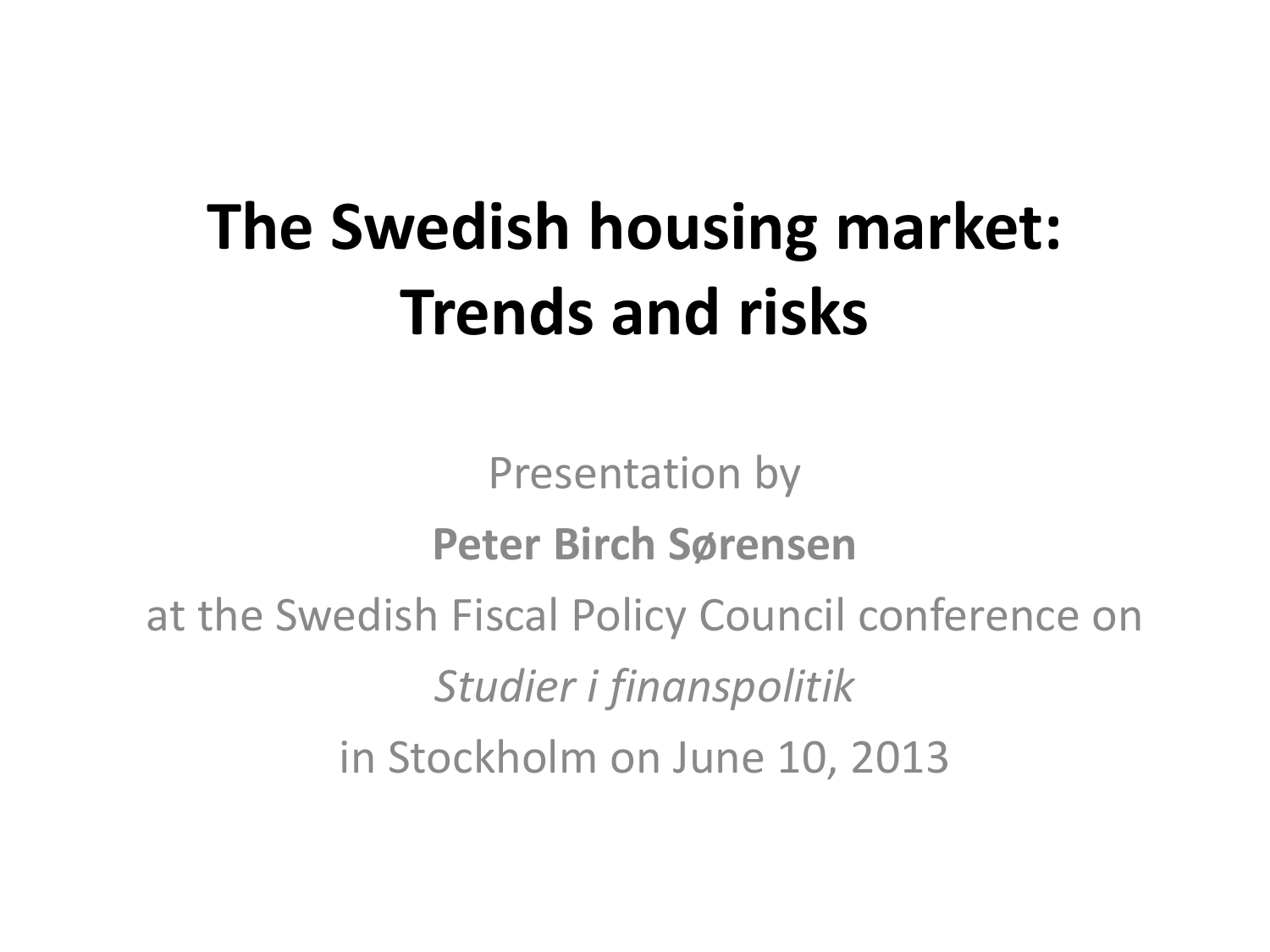# **The Swedish housing market: Trends and risks**

Presentation by **Peter Birch Sørensen**

at the Swedish Fiscal Policy Council conference on

*Studier i finanspolitik*

in Stockholm on June 10, 2013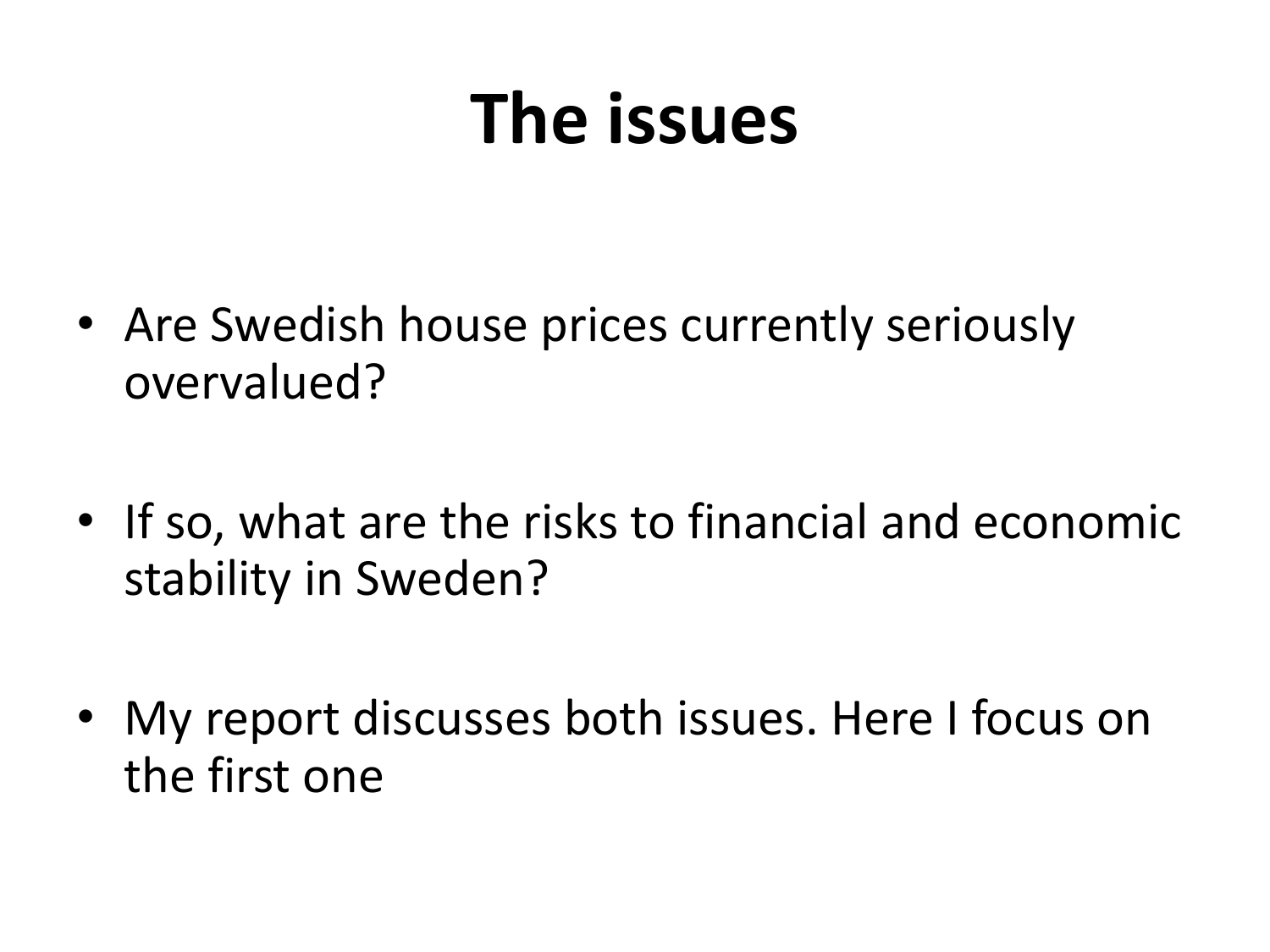# **The issues**

- Are Swedish house prices currently seriously overvalued?
- If so, what are the risks to financial and economic stability in Sweden?
- My report discusses both issues. Here I focus on the first one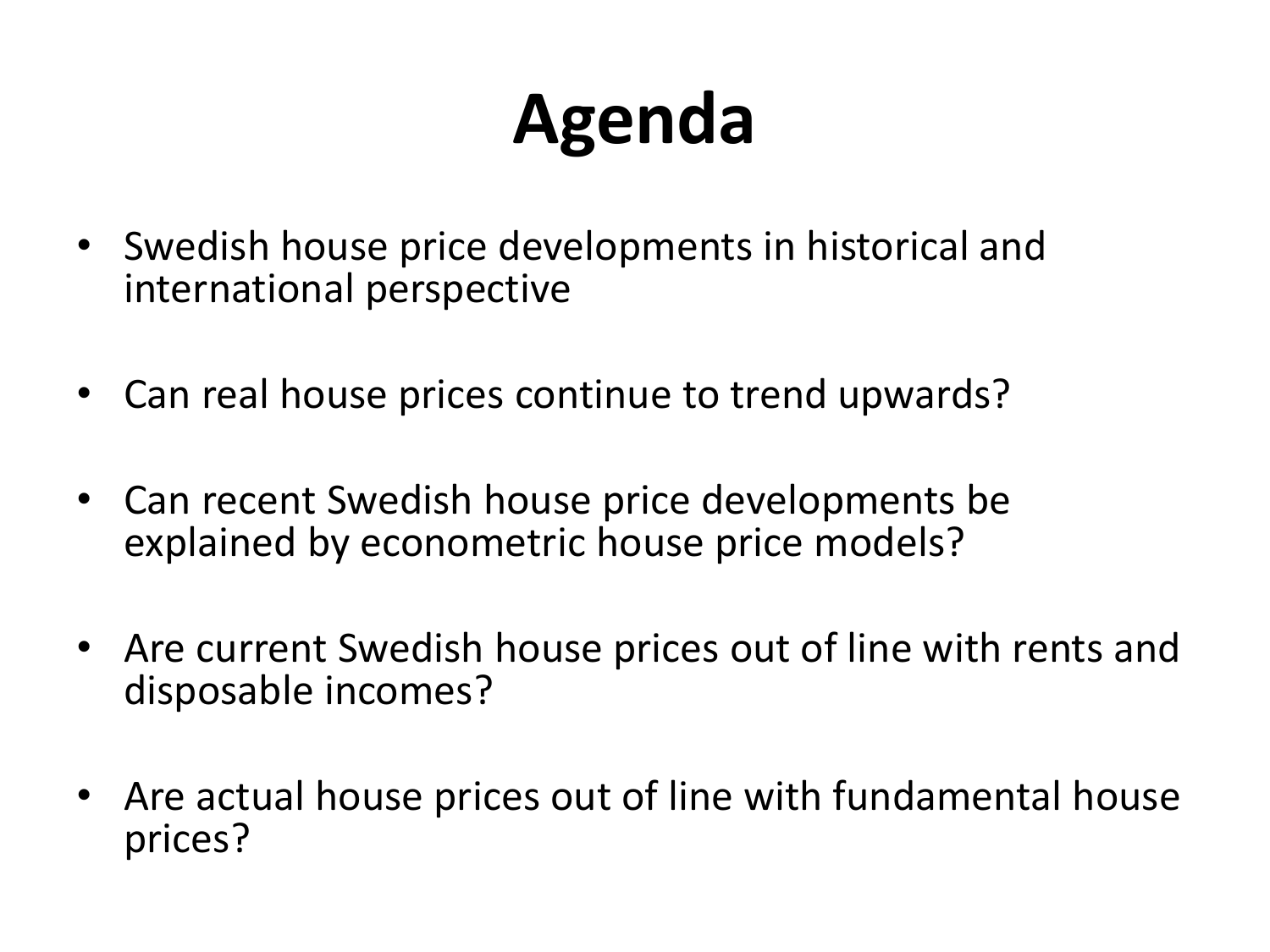# **Agenda**

- Swedish house price developments in historical and international perspective
- Can real house prices continue to trend upwards?
- Can recent Swedish house price developments be explained by econometric house price models?
- Are current Swedish house prices out of line with rents and disposable incomes?
- Are actual house prices out of line with fundamental house prices?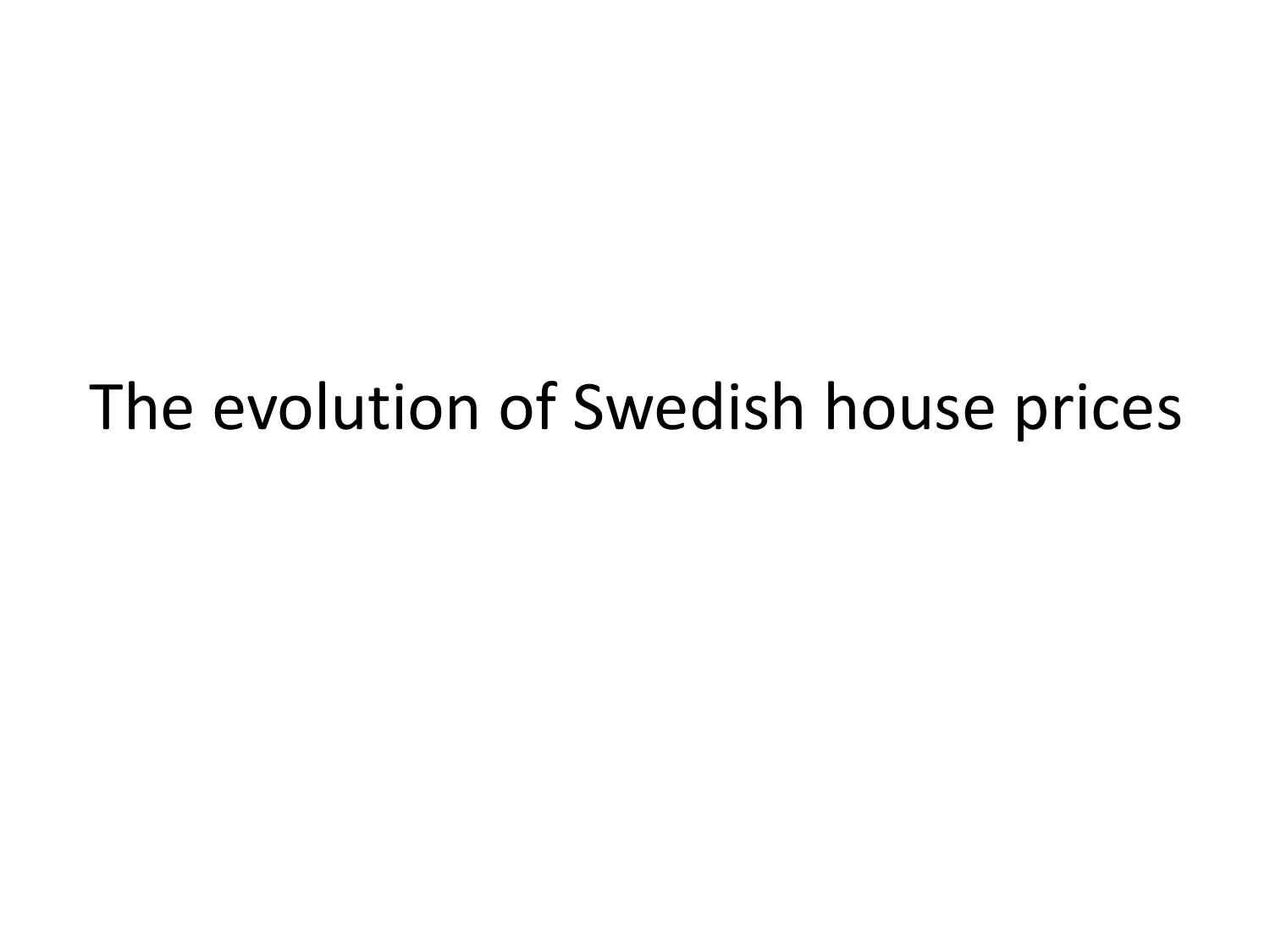#### The evolution of Swedish house prices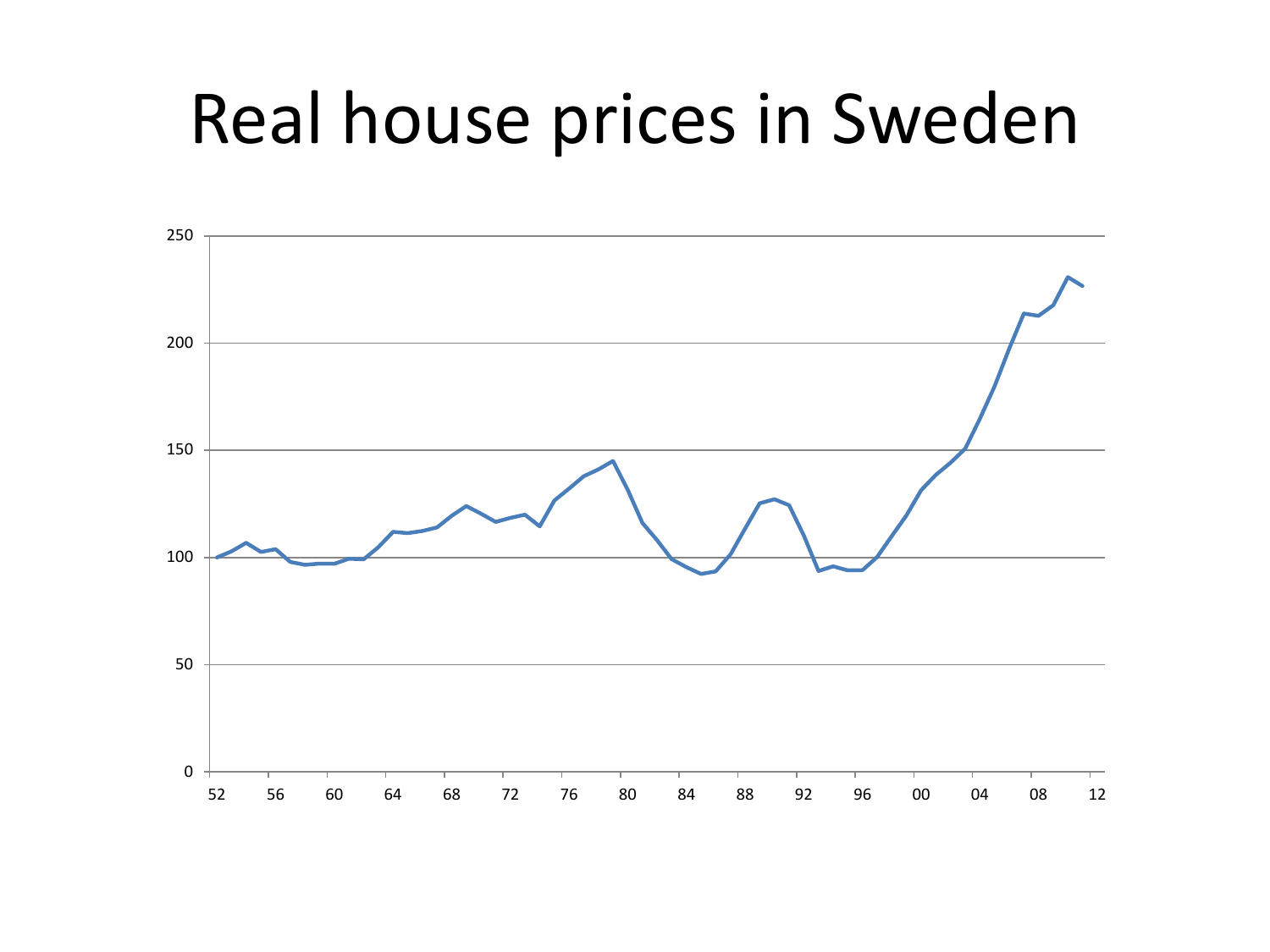#### Real house prices in Sweden

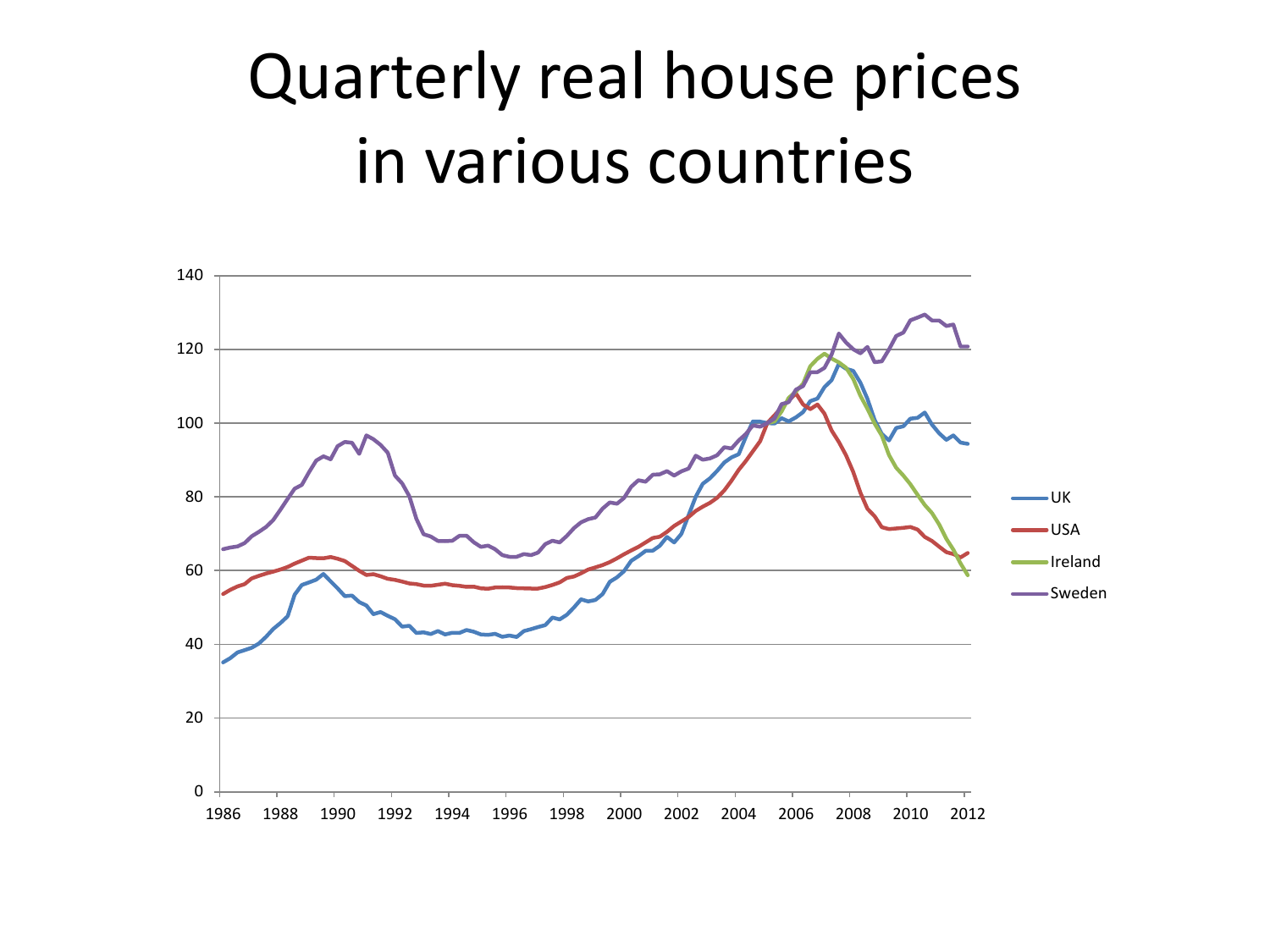#### Quarterly real house prices in various countries

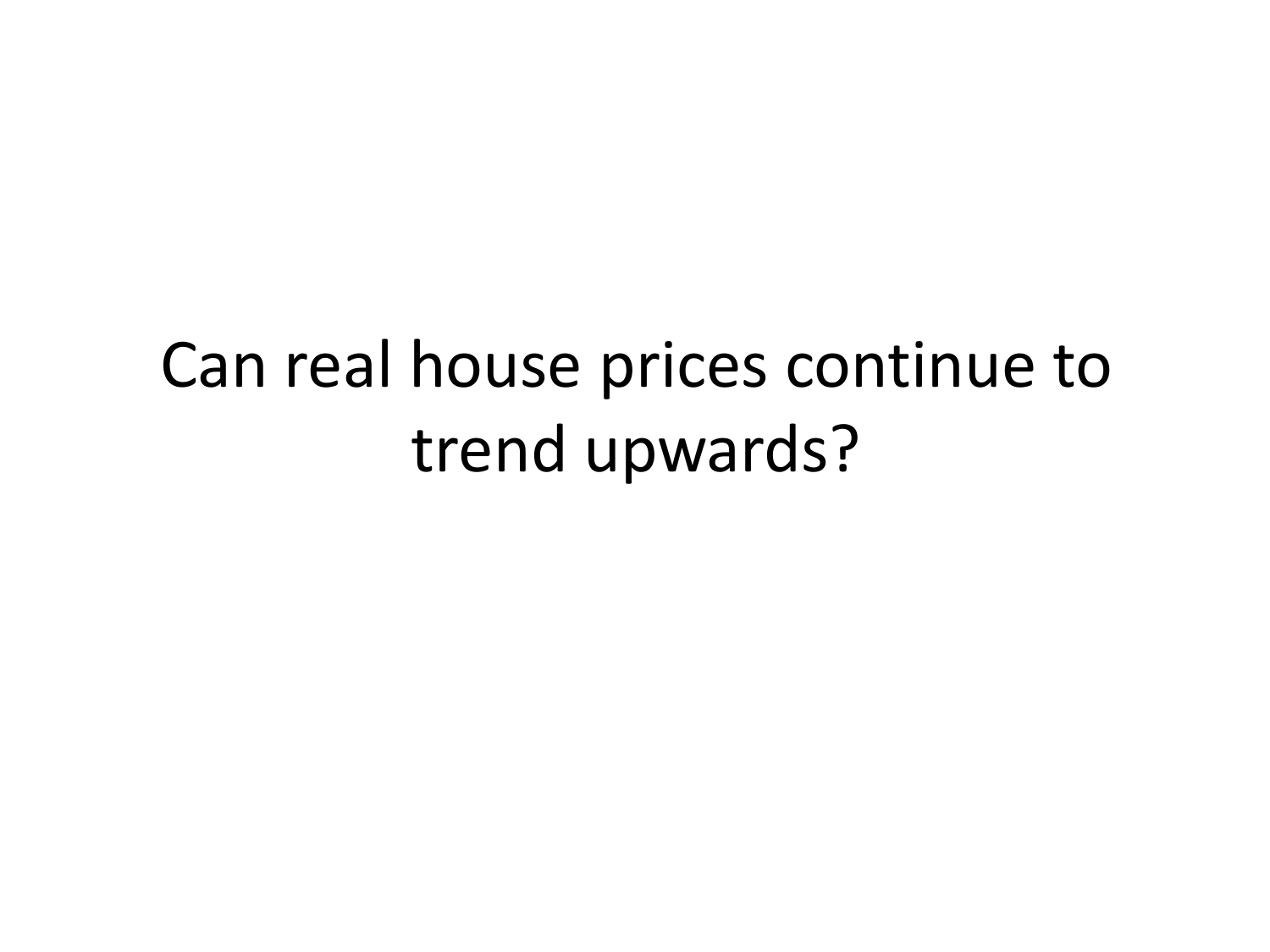#### Can real house prices continue to trend upwards?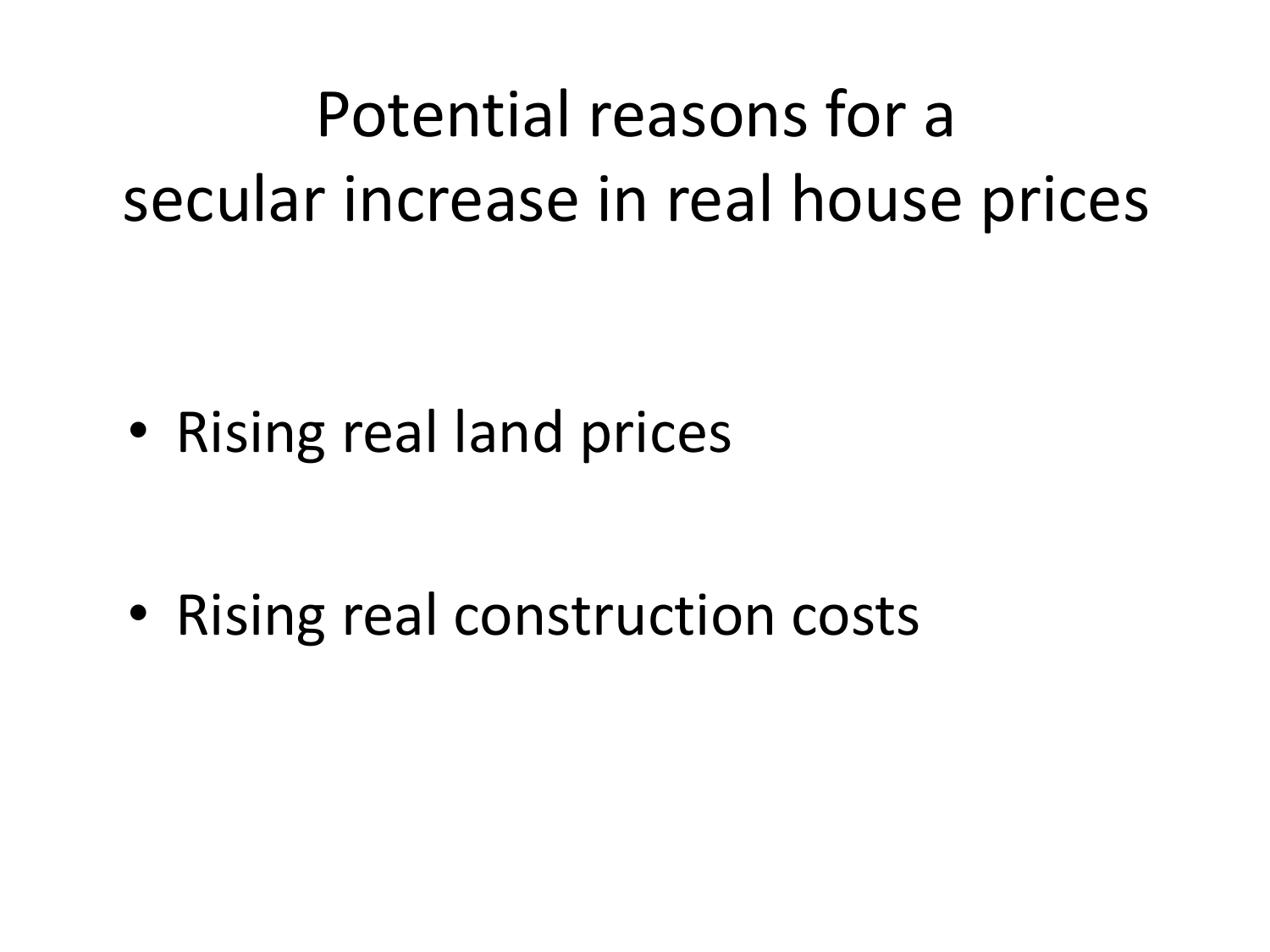# Potential reasons for a secular increase in real house prices

• Rising real land prices

• Rising real construction costs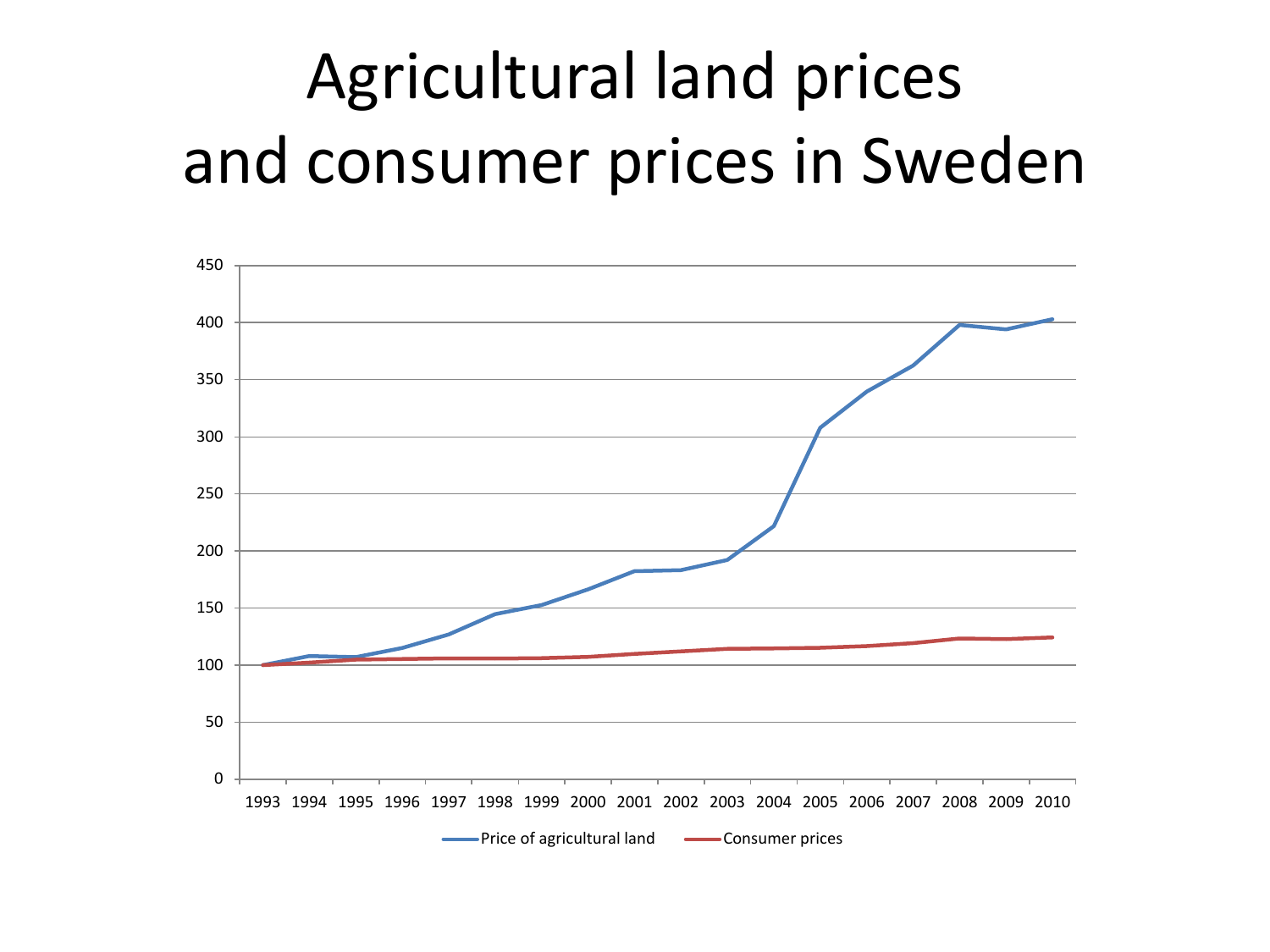# Agricultural land prices and consumer prices in Sweden

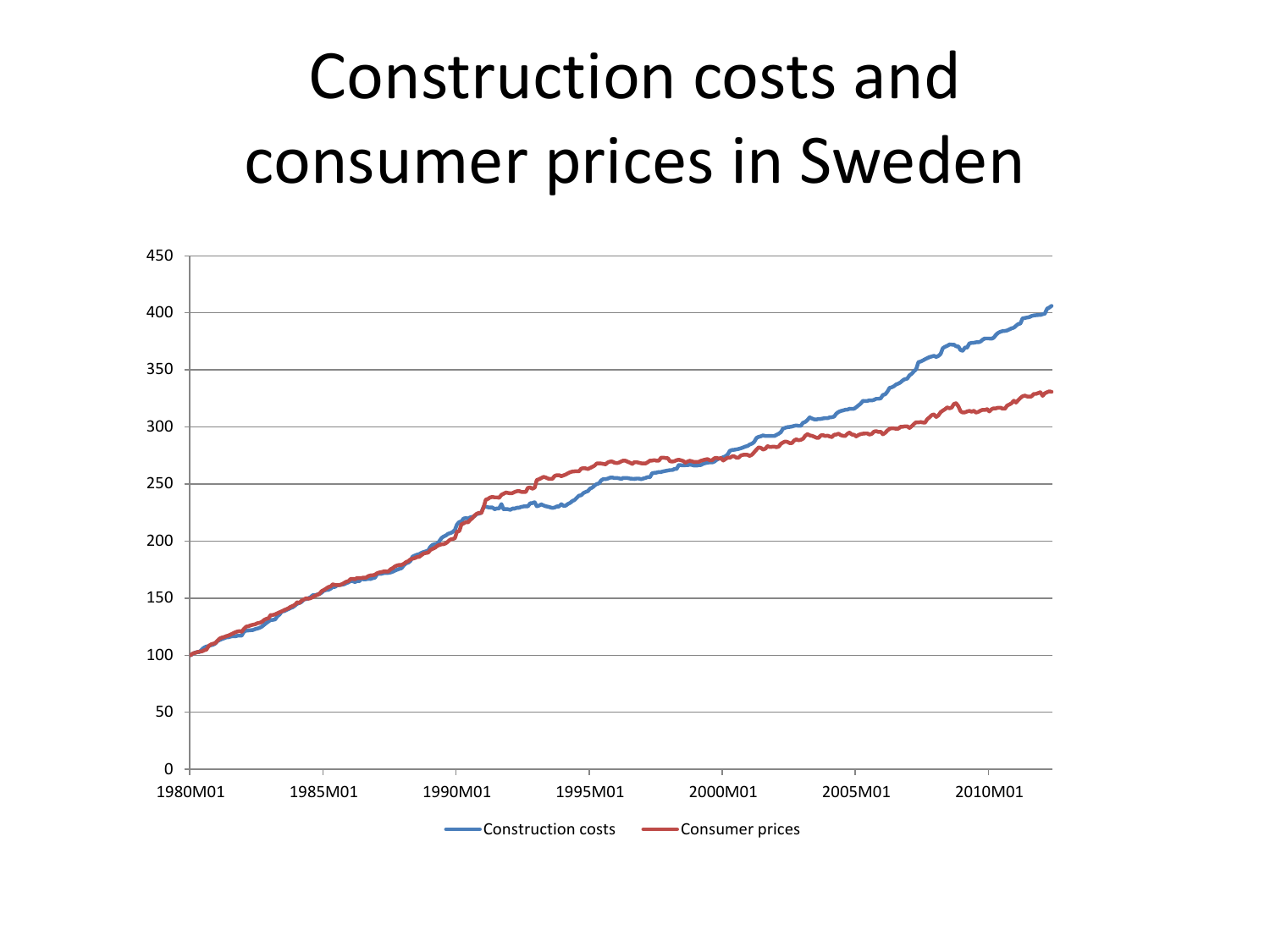#### Construction costs and consumer prices in Sweden

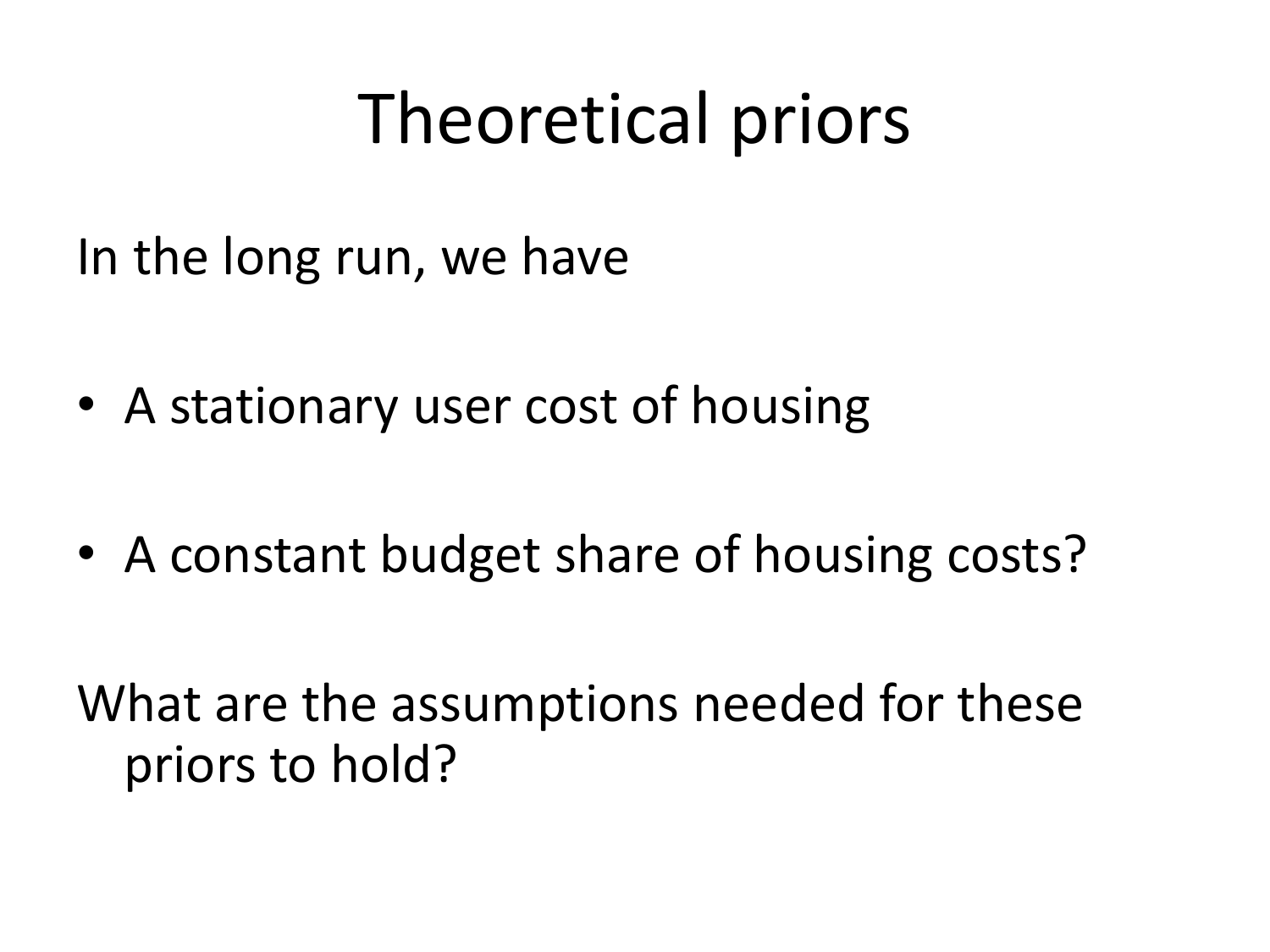# Theoretical priors

In the long run, we have

- A stationary user cost of housing
- A constant budget share of housing costs?

What are the assumptions needed for these priors to hold?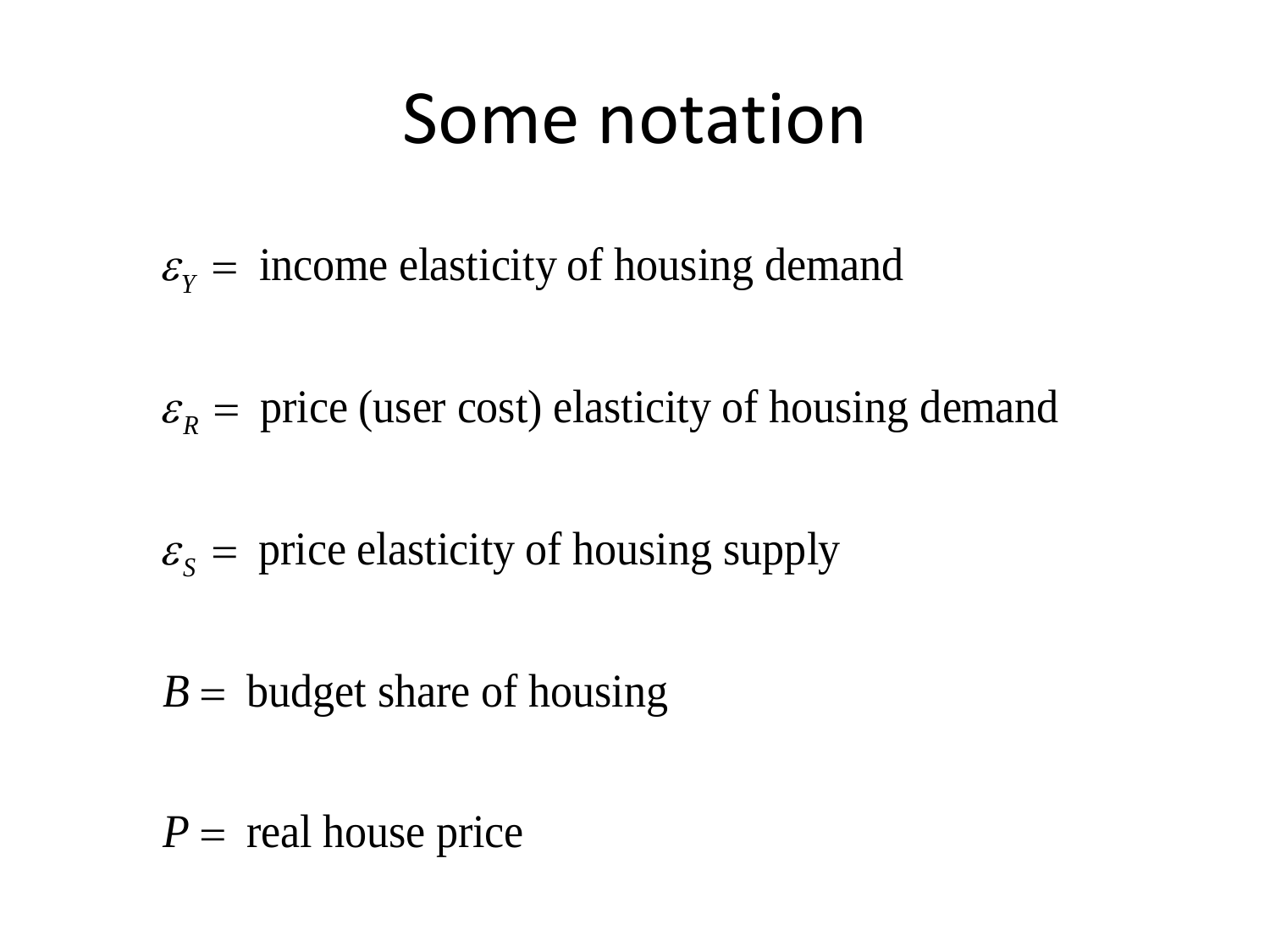#### Some notation

 $\varepsilon_{y}$  = income elasticity of housing demand

 $\varepsilon_R$  = price (user cost) elasticity of housing demand

 $\varepsilon_{s}$  = price elasticity of housing supply

 $B =$  budget share of housing

 $P =$  real house price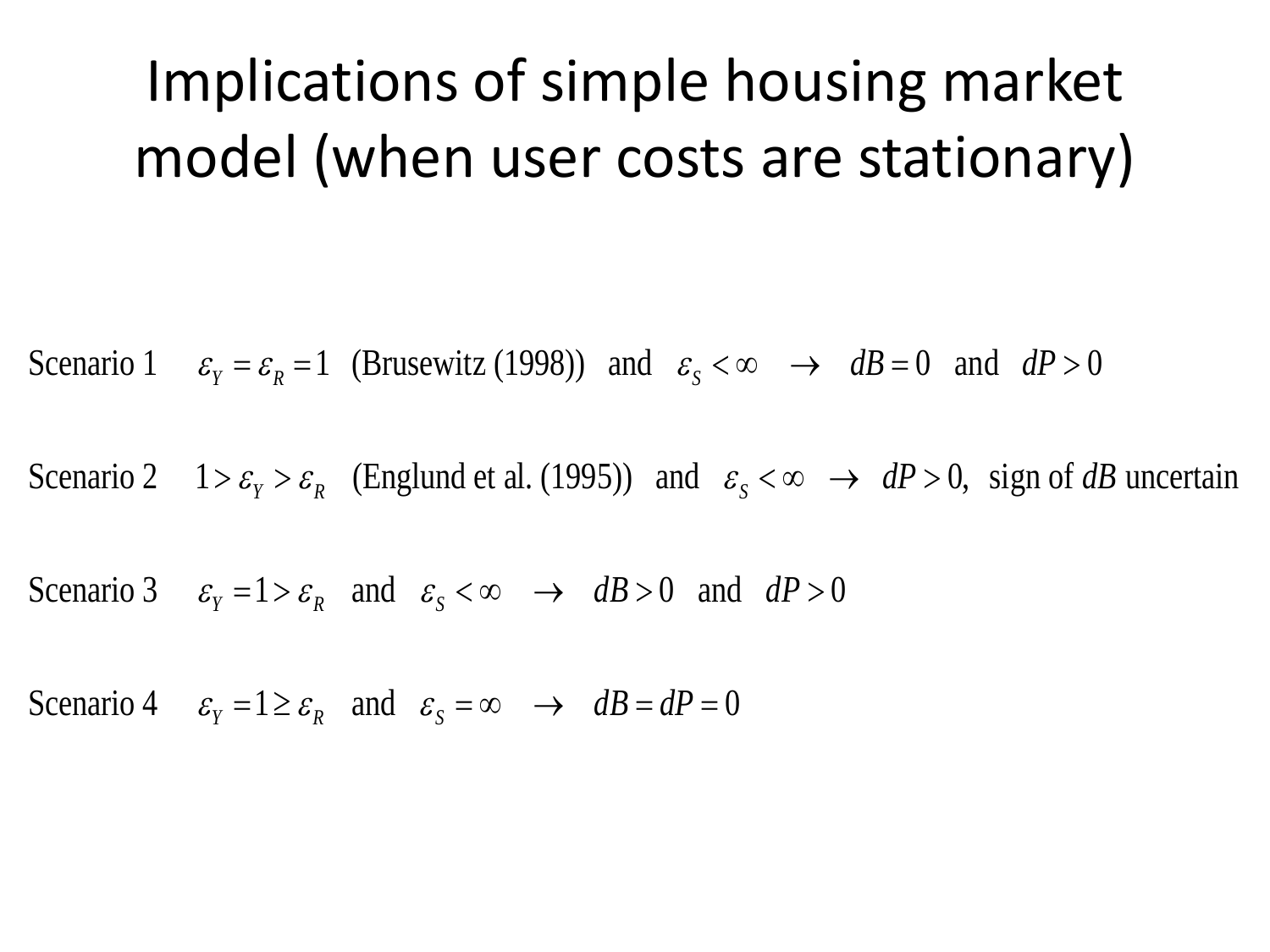#### Implications of simple housing market model (when user costs are stationary)

Scenario 1  $\varepsilon_{v} = \varepsilon_{R} = 1$  (Brusewitz (1998)) and  $\varepsilon_{s} < \infty \rightarrow dB = 0$  and  $dP > 0$  $\varepsilon_y = \varepsilon_R = 1$  (Brusewitz (1998)) and  $\varepsilon_s < \infty \rightarrow dB = 0$  and  $dP > 0$ 

Scenario 1  $\varepsilon_{y} = \varepsilon_{R} = 1$  (Brusewitz (1998)) and  $\varepsilon_{s} < \infty \rightarrow dB = 0$  and  $dP > 0$ <br> *Scenario 2*  $1 > \varepsilon_{y} > \varepsilon_{R}$  (Englund et al. (1995)) and  $\varepsilon_{s} < \infty \rightarrow dP > 0$ , sign of dB uncertain  $1 > \varepsilon_{Y} > \varepsilon_{R}$  (Englund et al. (1995)) and  $\varepsilon_{S} < \infty \rightarrow dP > 0$ , si<br> $\varepsilon_{Y} = 1 > \varepsilon_{R}$  and  $\varepsilon_{S} < \infty \rightarrow dB > 0$  and  $dP > 0$ 

Scenario 3 Scenario 3  $\varepsilon_{Y} = 1 > \varepsilon_{R}$  and  $\varepsilon_{S} < \infty \to dB > 0$  and<br>Scenario 4  $\varepsilon_{Y} = 1 \ge \varepsilon_{R}$  and  $\varepsilon_{S} = \infty \to dB = dP = 0$  $\mathcal{E}_Y = 1 > \mathcal{E}_R$  and  $\mathcal{E}_S$  $\varepsilon_{Y} = 1 > \varepsilon_{R}$  and  $\varepsilon_{S} < \infty \rightarrow dB > 0$  and  $dP > 0$ <br> $\varepsilon_{Y} = 1 \ge \varepsilon_{R}$  and  $\varepsilon_{S} = \infty \rightarrow dB = dP = 0$ 

Scenario 4  $\varepsilon_y = 1 \ge \varepsilon_{R}$  and  $\varepsilon_s = \infty \to dB = dP = 0$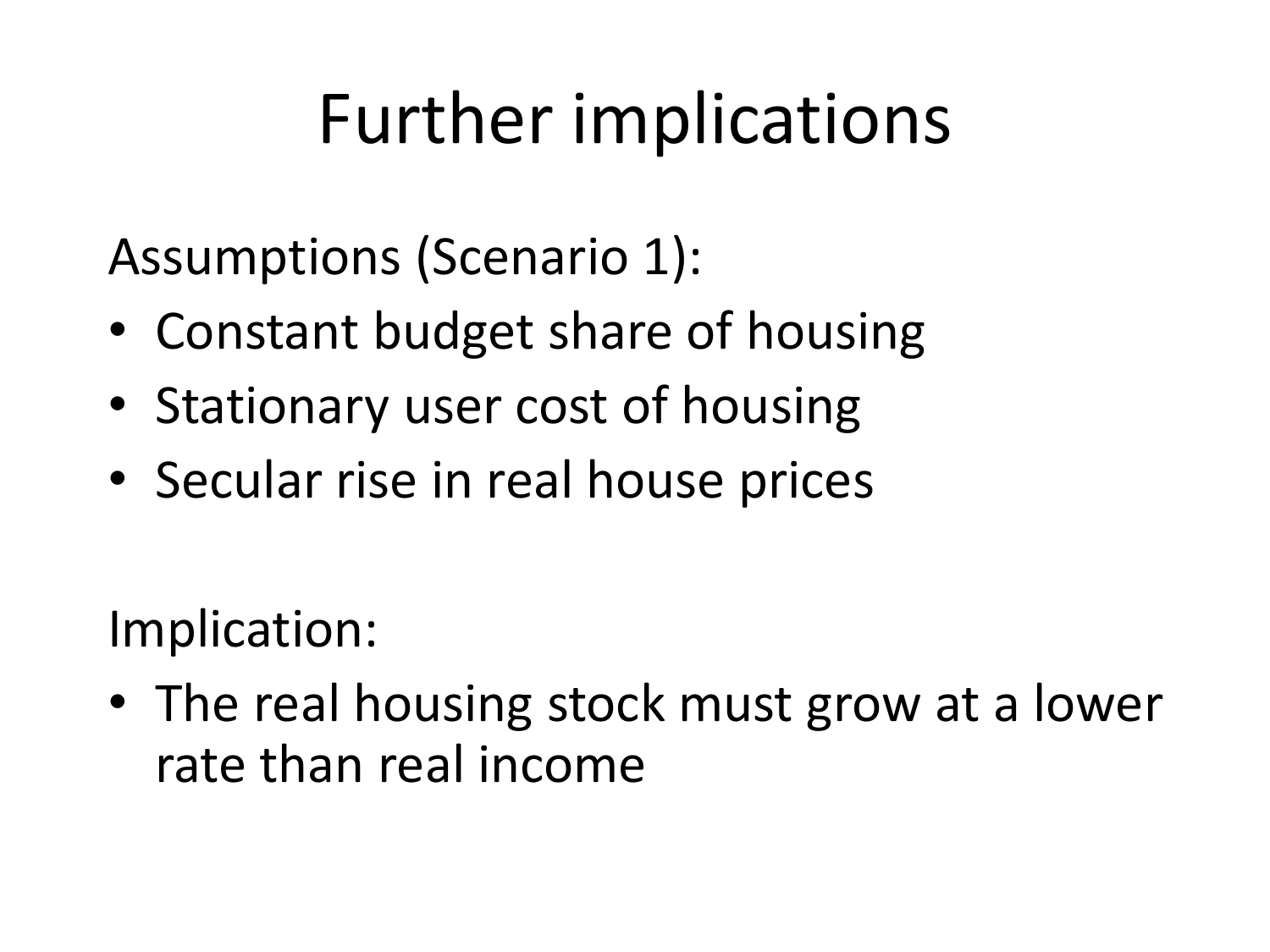# Further implications

Assumptions (Scenario 1):

- Constant budget share of housing
- Stationary user cost of housing
- Secular rise in real house prices

Implication:

• The real housing stock must grow at a lower rate than real income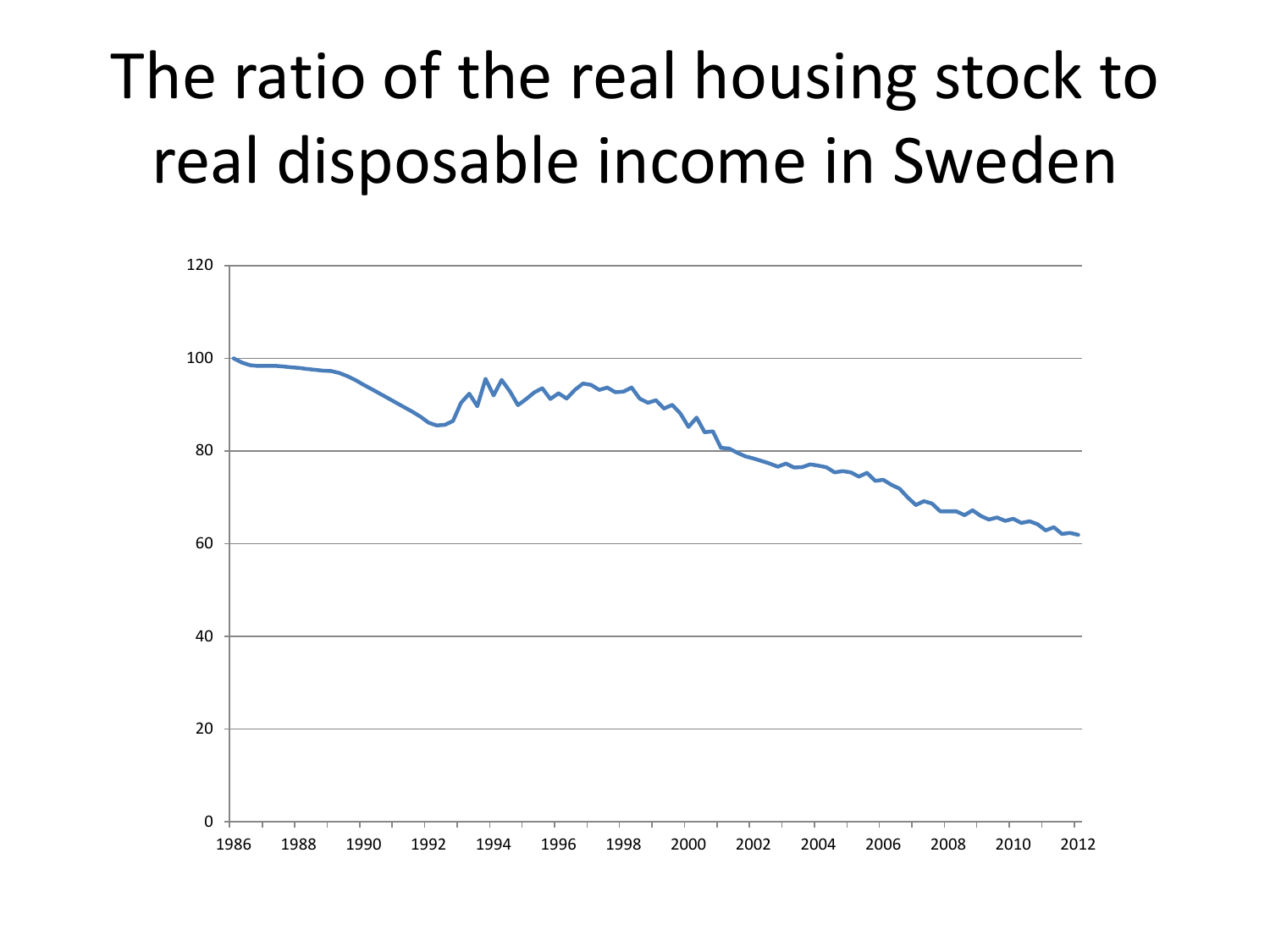# The ratio of the real housing stock to real disposable income in Sweden

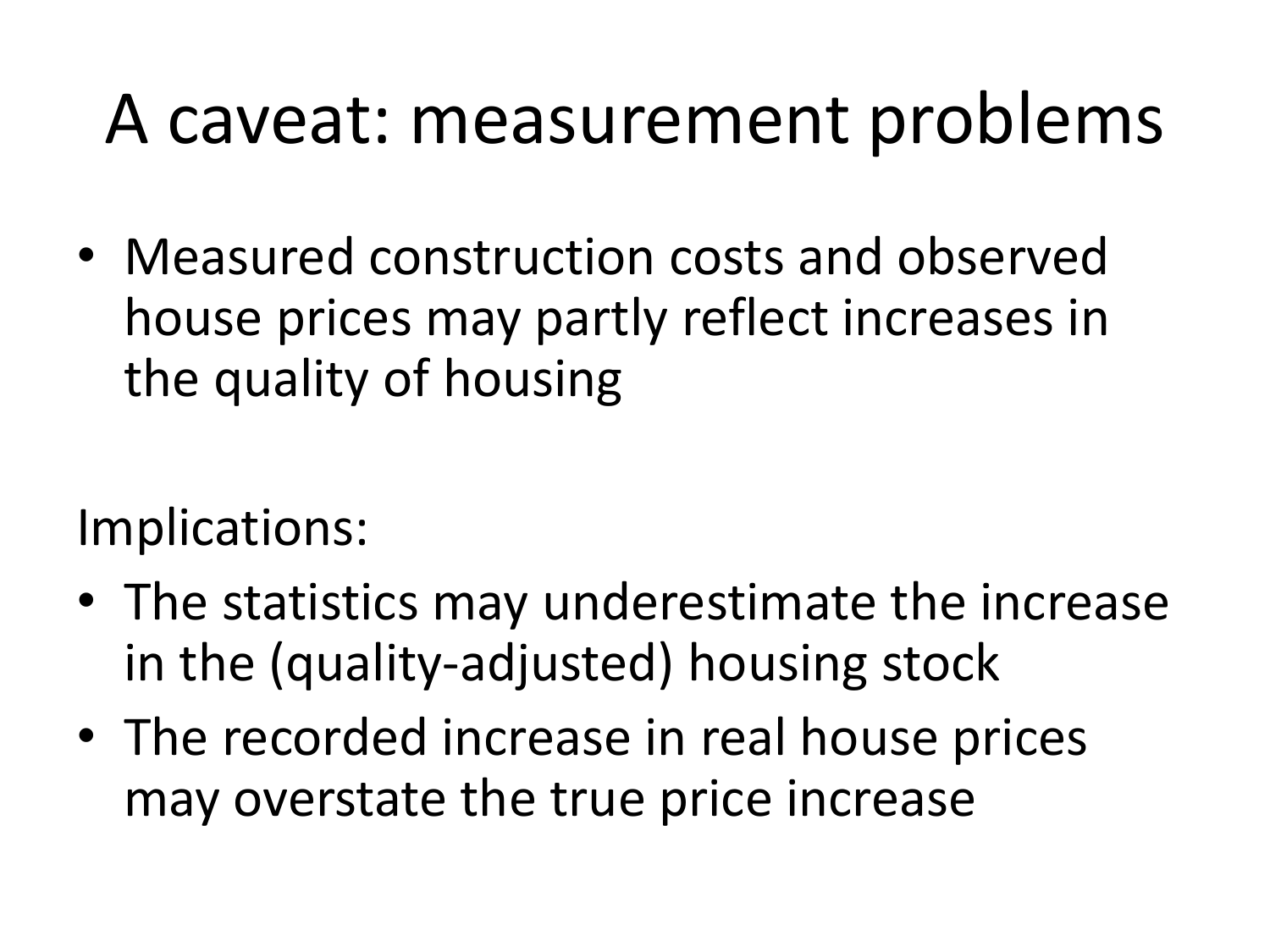# A caveat: measurement problems

• Measured construction costs and observed house prices may partly reflect increases in the quality of housing

Implications:

- The statistics may underestimate the increase in the (quality-adjusted) housing stock
- The recorded increase in real house prices may overstate the true price increase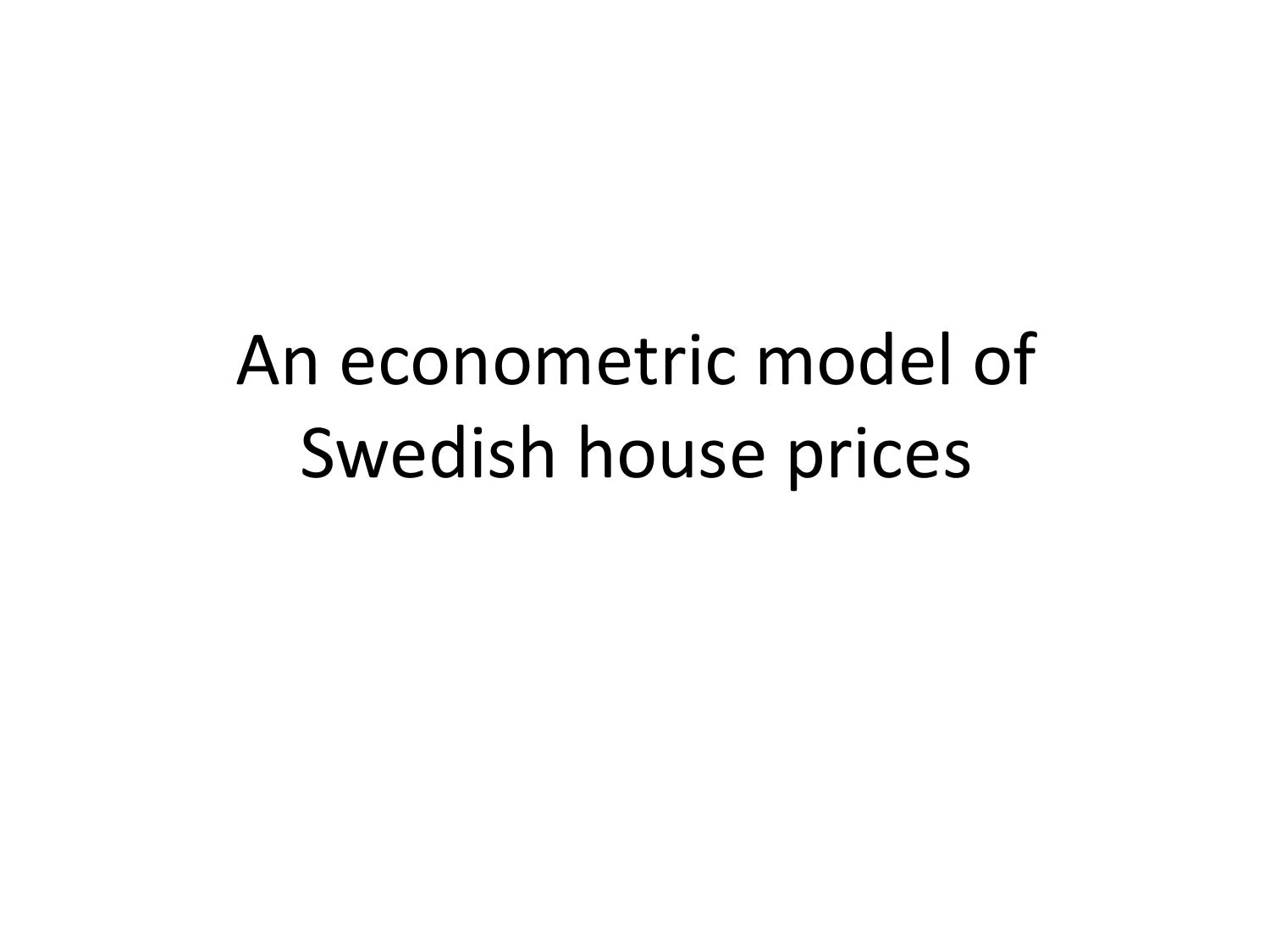# An econometric model of Swedish house prices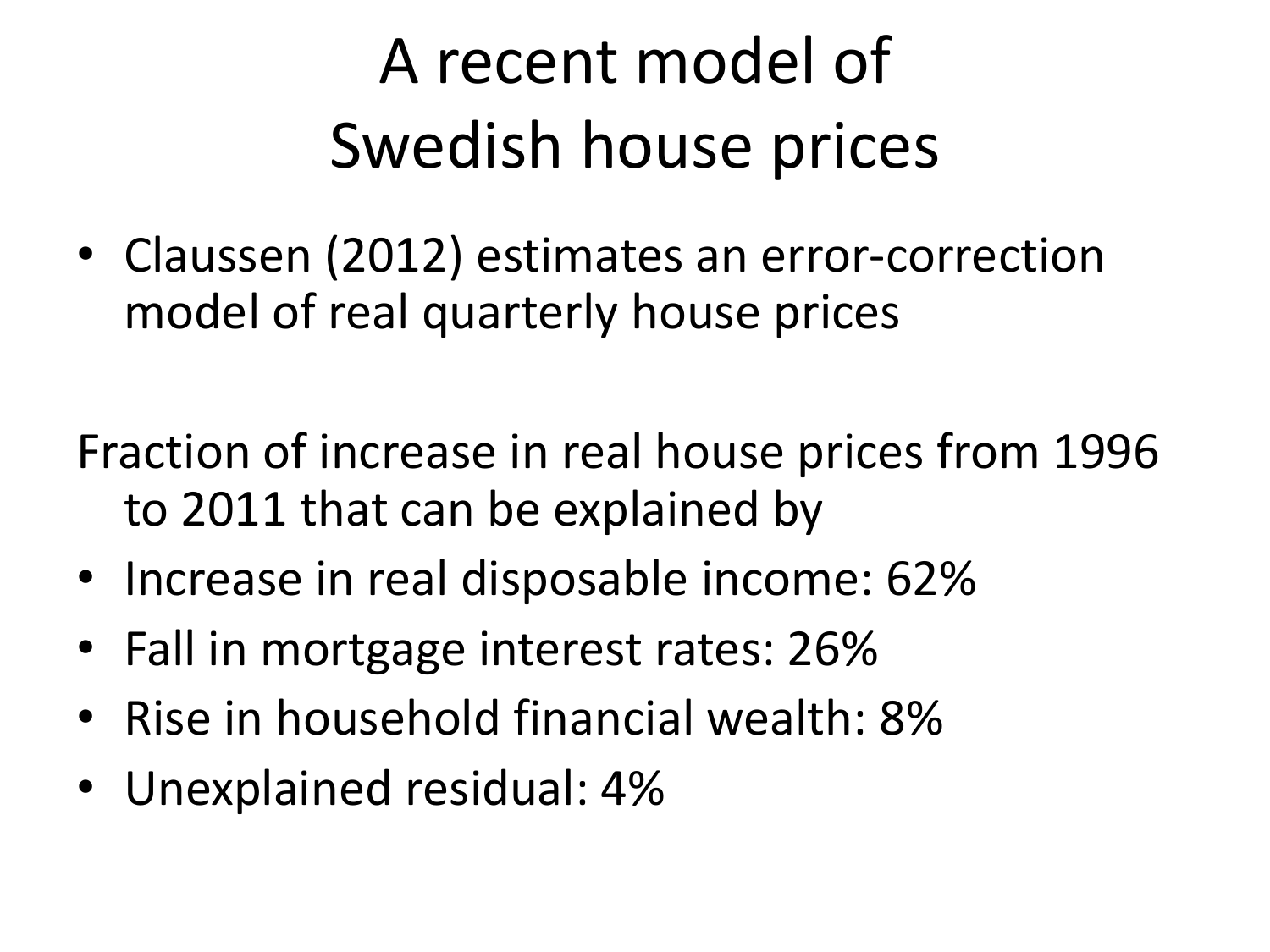# A recent model of Swedish house prices

• Claussen (2012) estimates an error-correction model of real quarterly house prices

Fraction of increase in real house prices from 1996 to 2011 that can be explained by

- Increase in real disposable income: 62%
- Fall in mortgage interest rates: 26%
- Rise in household financial wealth: 8%
- Unexplained residual: 4%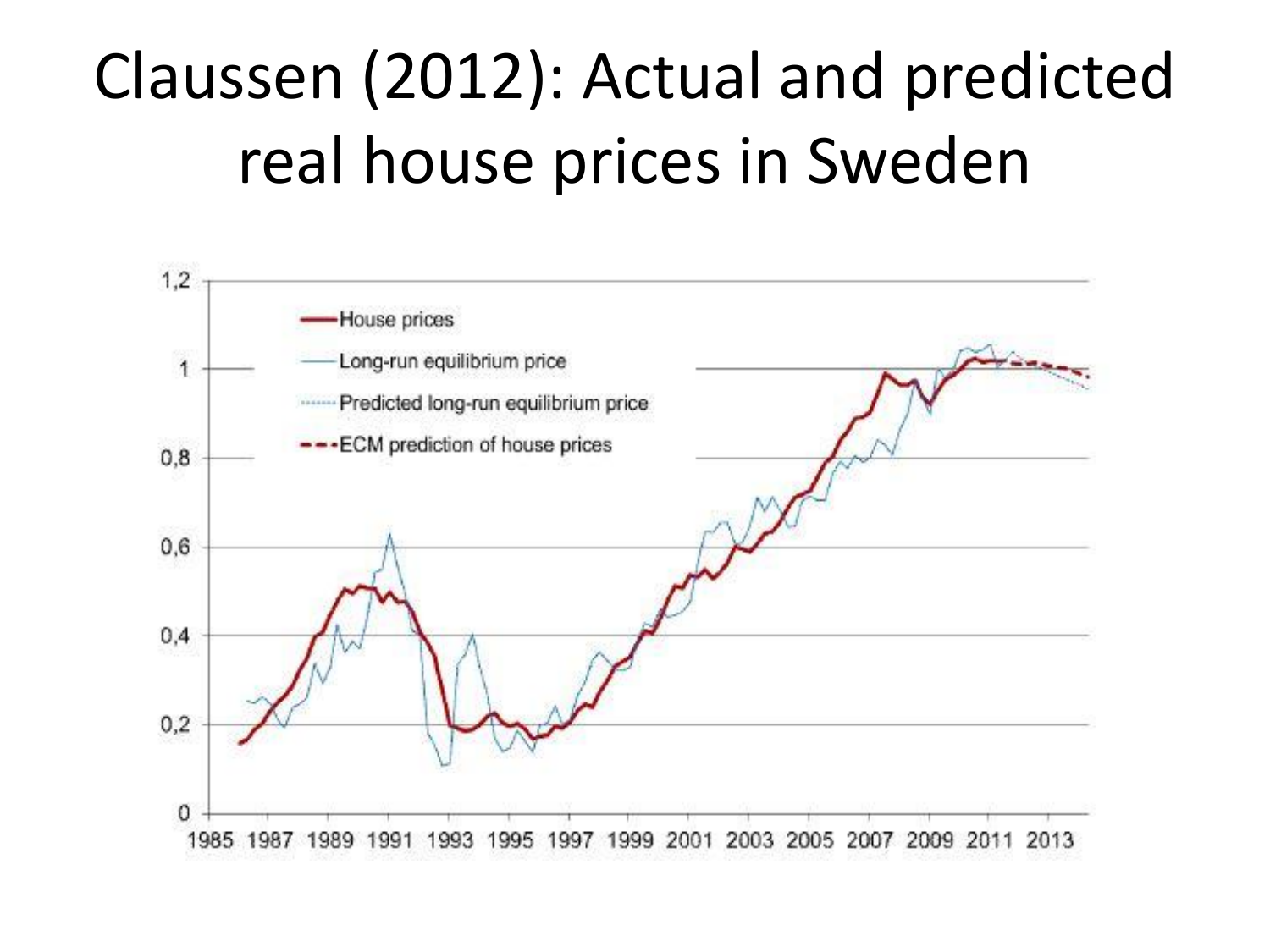# Claussen (2012): Actual and predicted real house prices in Sweden

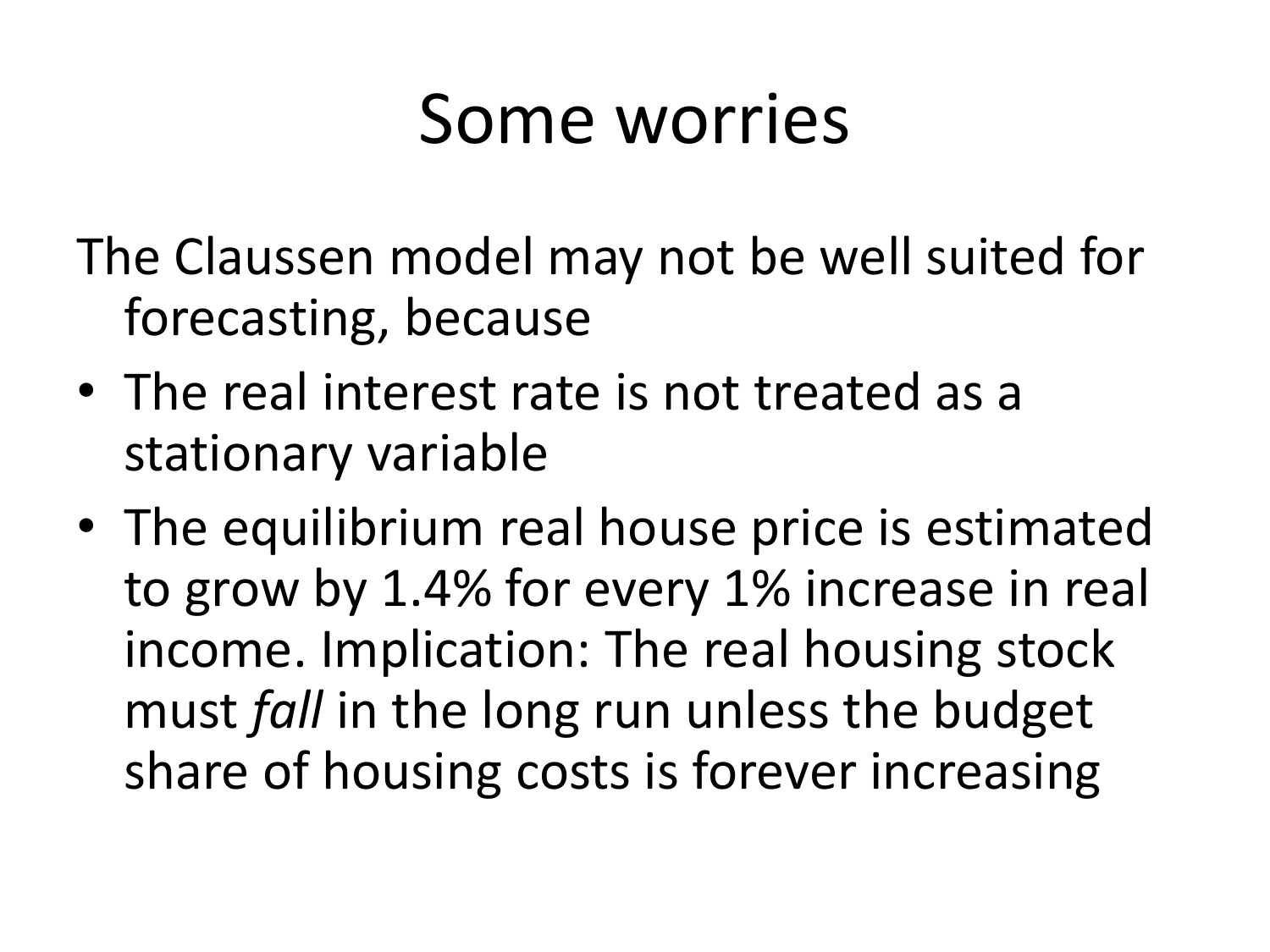# Some worries

The Claussen model may not be well suited for forecasting, because

- The real interest rate is not treated as a stationary variable
- The equilibrium real house price is estimated to grow by 1.4% for every 1% increase in real income. Implication: The real housing stock must *fall* in the long run unless the budget share of housing costs is forever increasing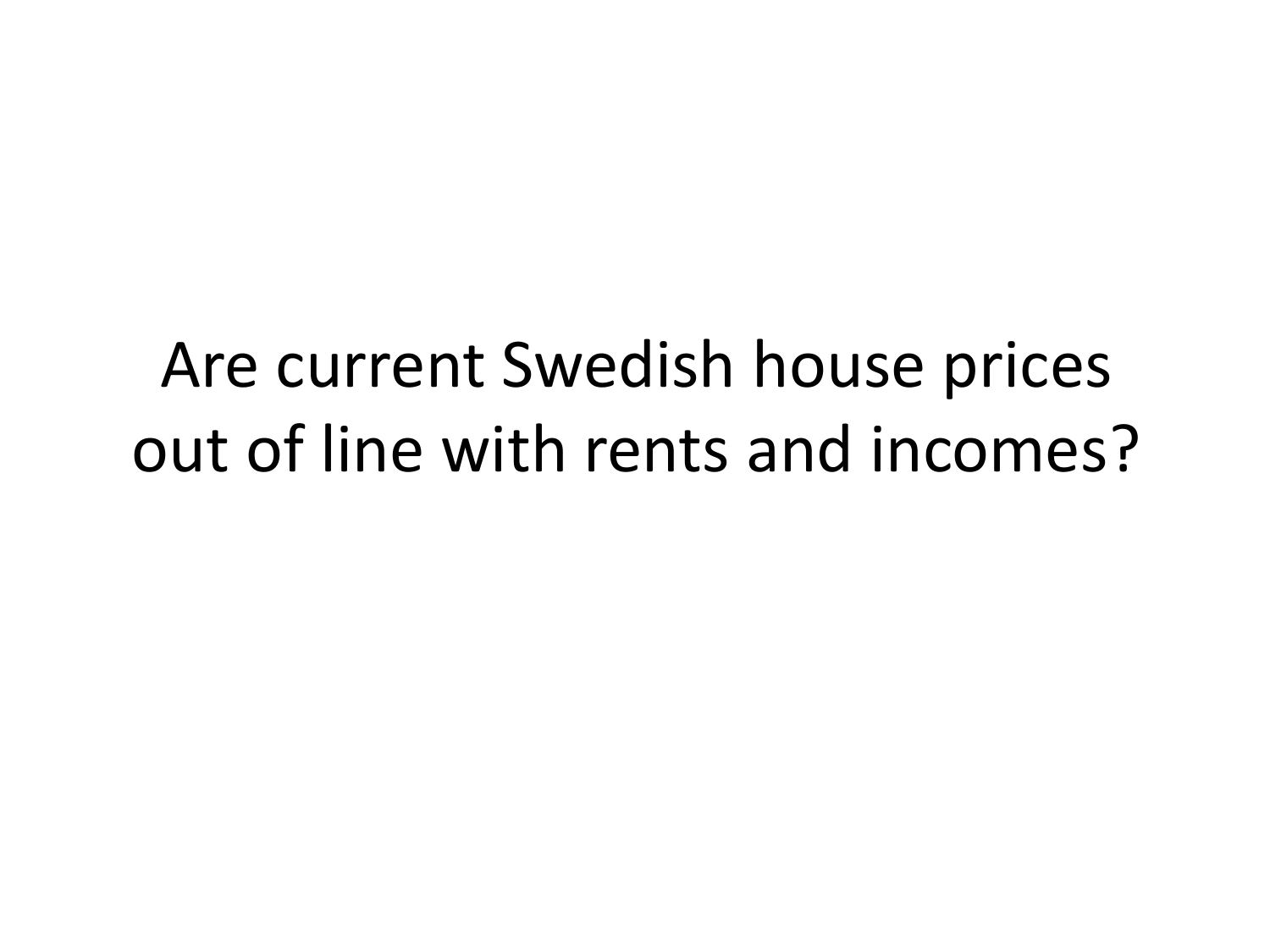#### Are current Swedish house prices out of line with rents and incomes?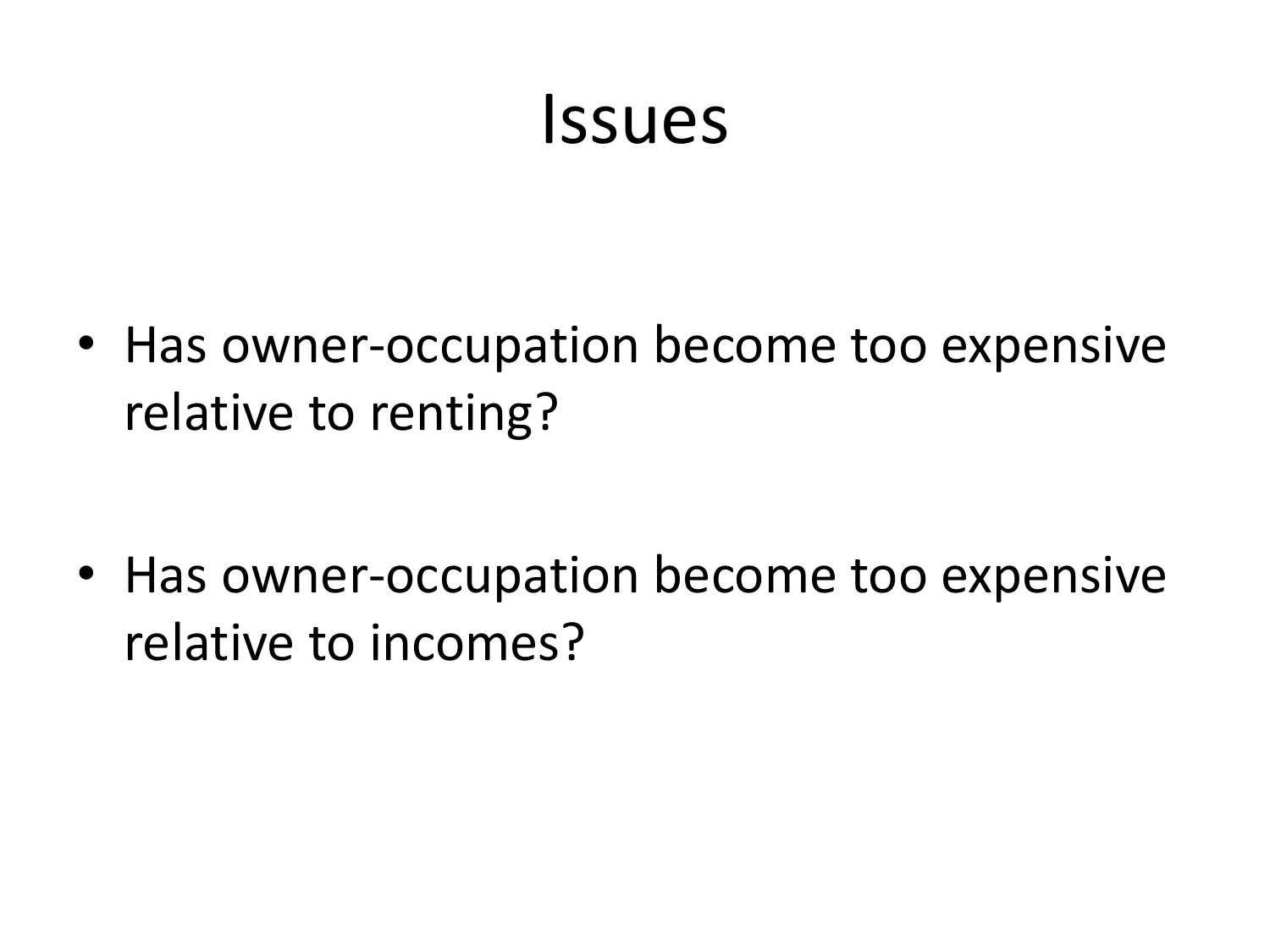#### Issues

• Has owner-occupation become too expensive relative to renting?

• Has owner-occupation become too expensive relative to incomes?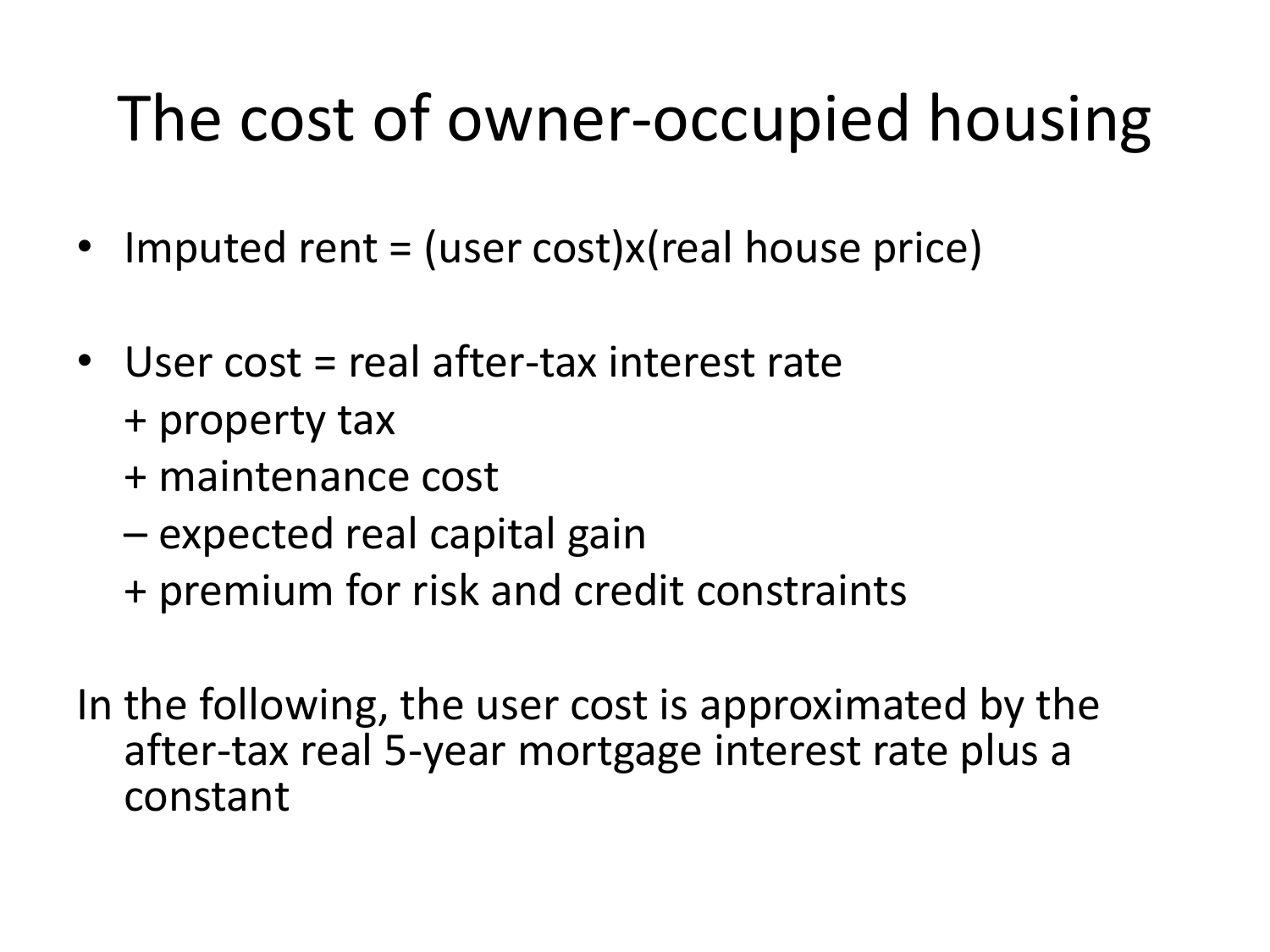#### The cost of owner-occupied housing

- Imputed rent = (user cost)x(real house price)
- User cost = real after-tax interest rate + property tax
	- + maintenance cost
	- expected real capital gain
	- + premium for risk and credit constraints

In the following, the user cost is approximated by the after-tax real 5-year mortgage interest rate plus a constant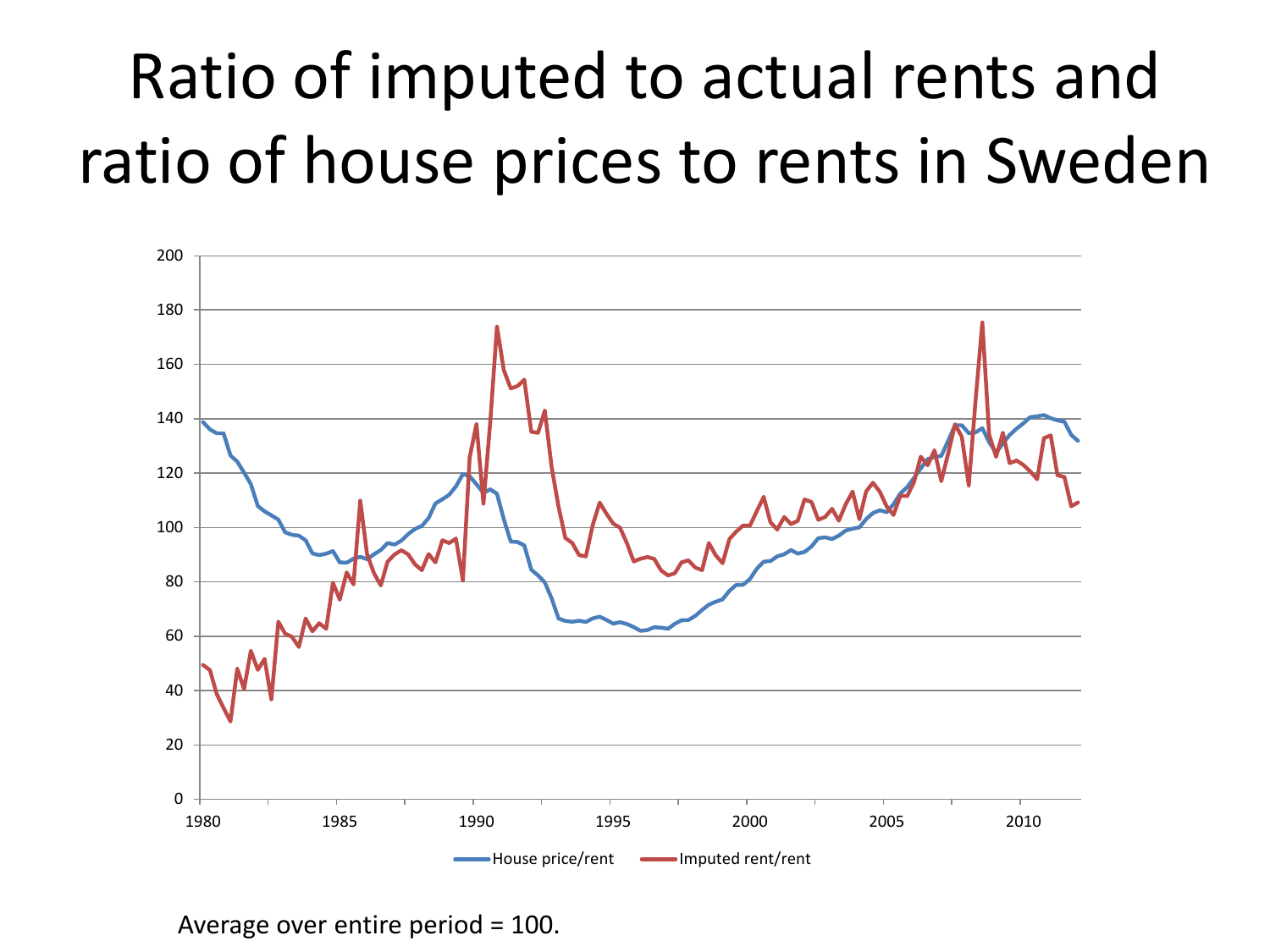# Ratio of imputed to actual rents and ratio of house prices to rents in Sweden



Average over entire period = 100.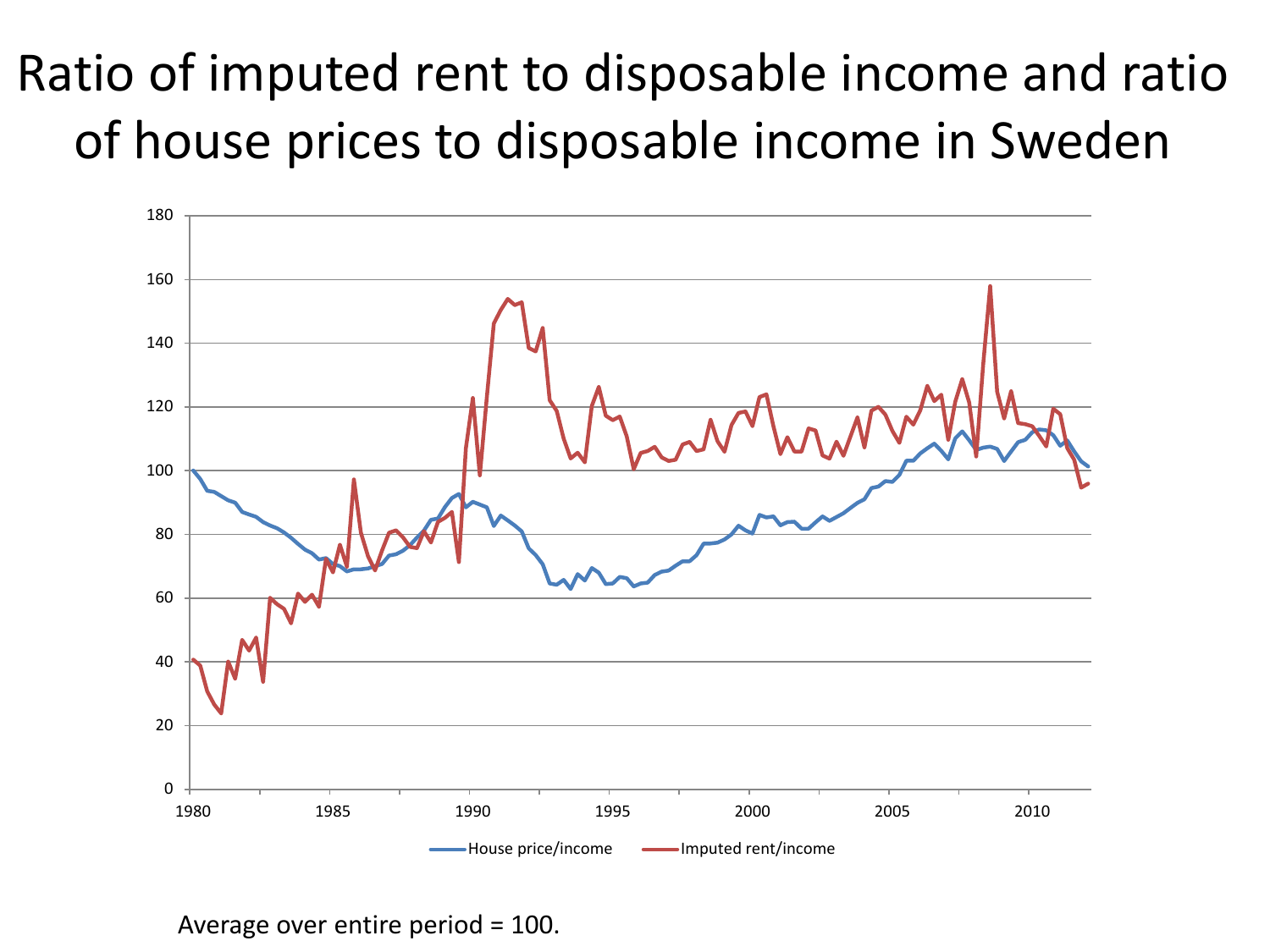#### Ratio of imputed rent to disposable income and ratio of house prices to disposable income in Sweden



Average over entire period = 100.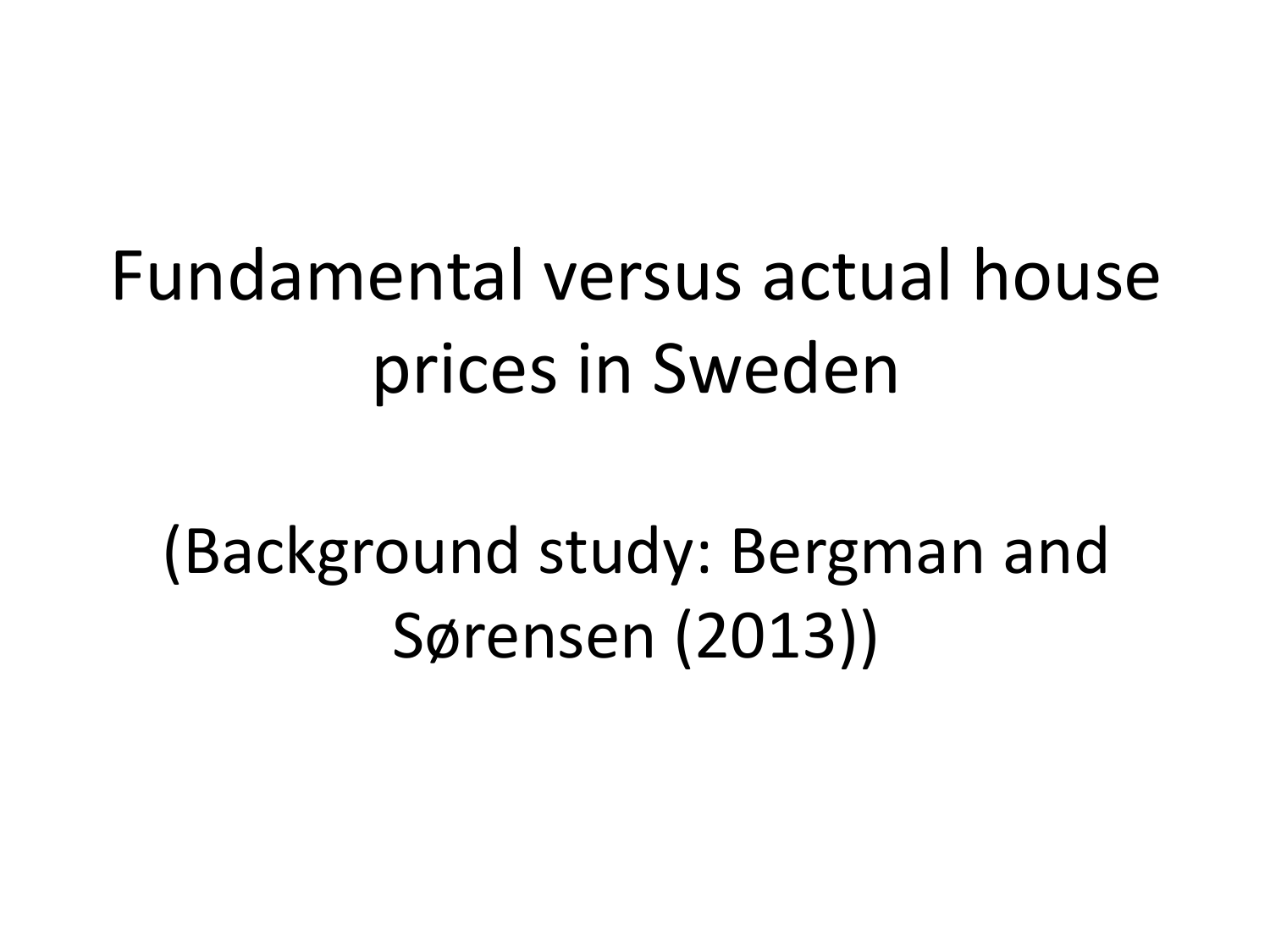# Fundamental versus actual house prices in Sweden

(Background study: Bergman and Sørensen (2013))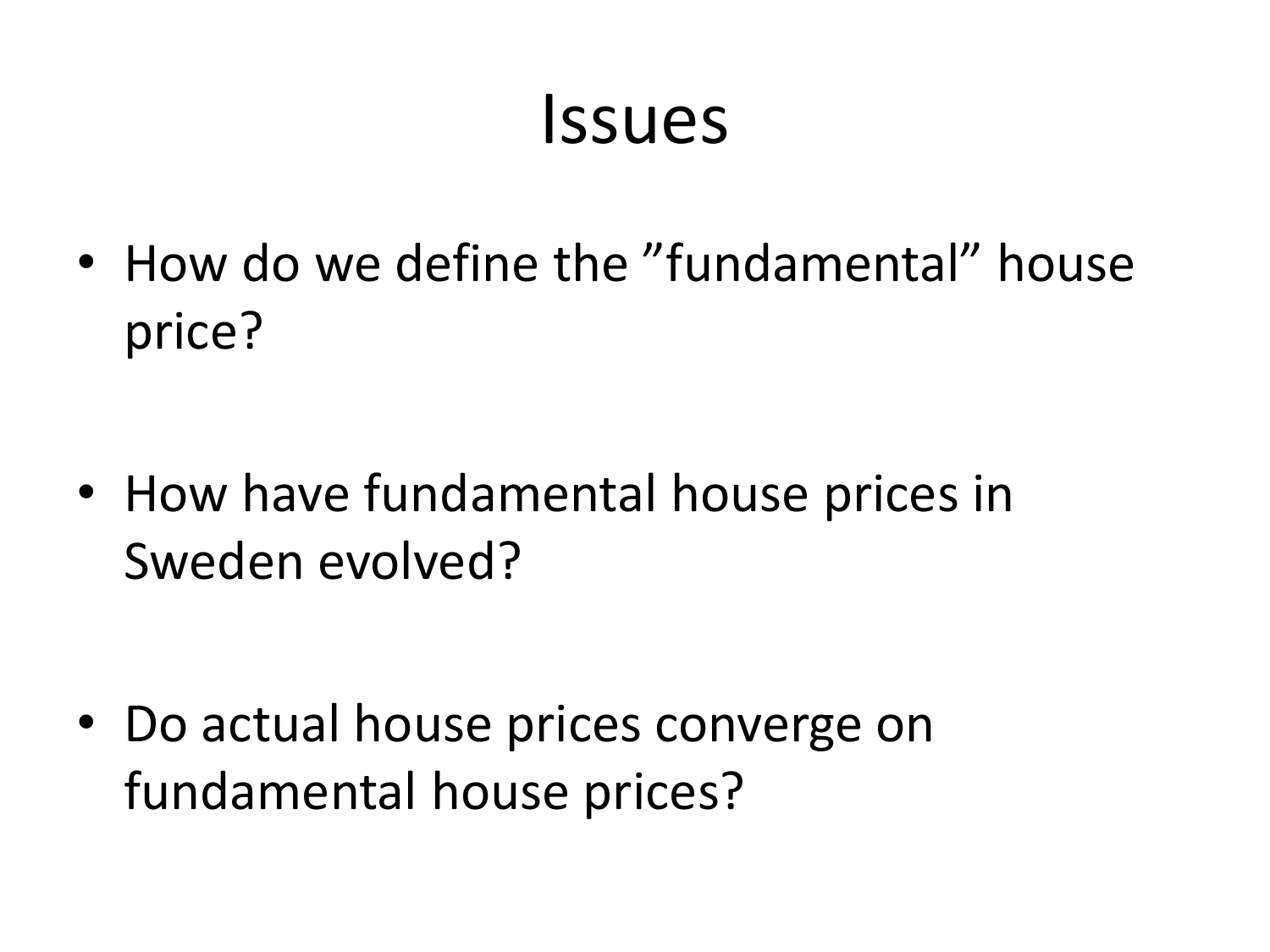#### Issues

• How do we define the "fundamental" house price?

• How have fundamental house prices in Sweden evolved?

• Do actual house prices converge on fundamental house prices?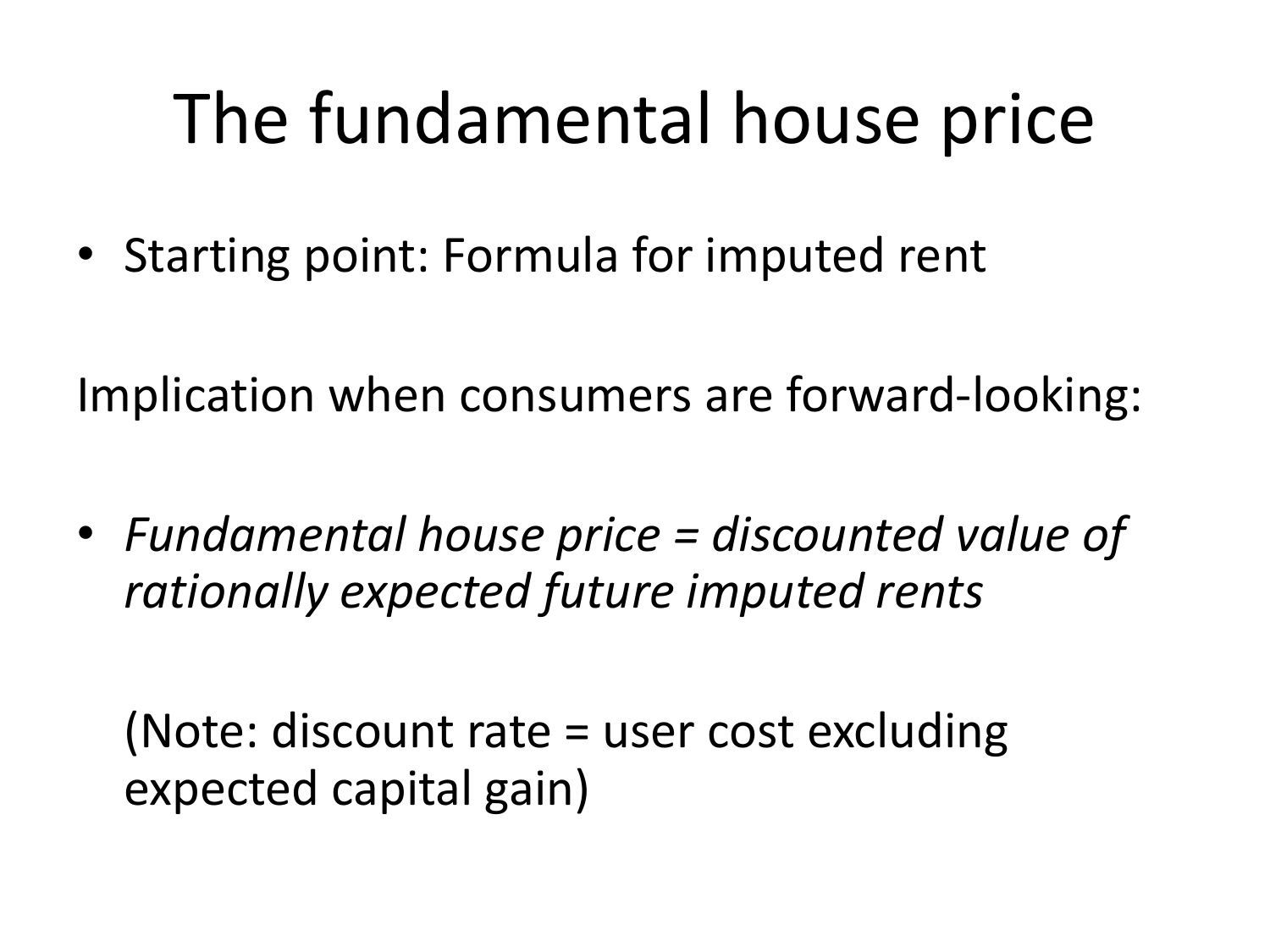# The fundamental house price

• Starting point: Formula for imputed rent

Implication when consumers are forward-looking:

• *Fundamental house price = discounted value of rationally expected future imputed rents*

(Note: discount rate = user cost excluding expected capital gain)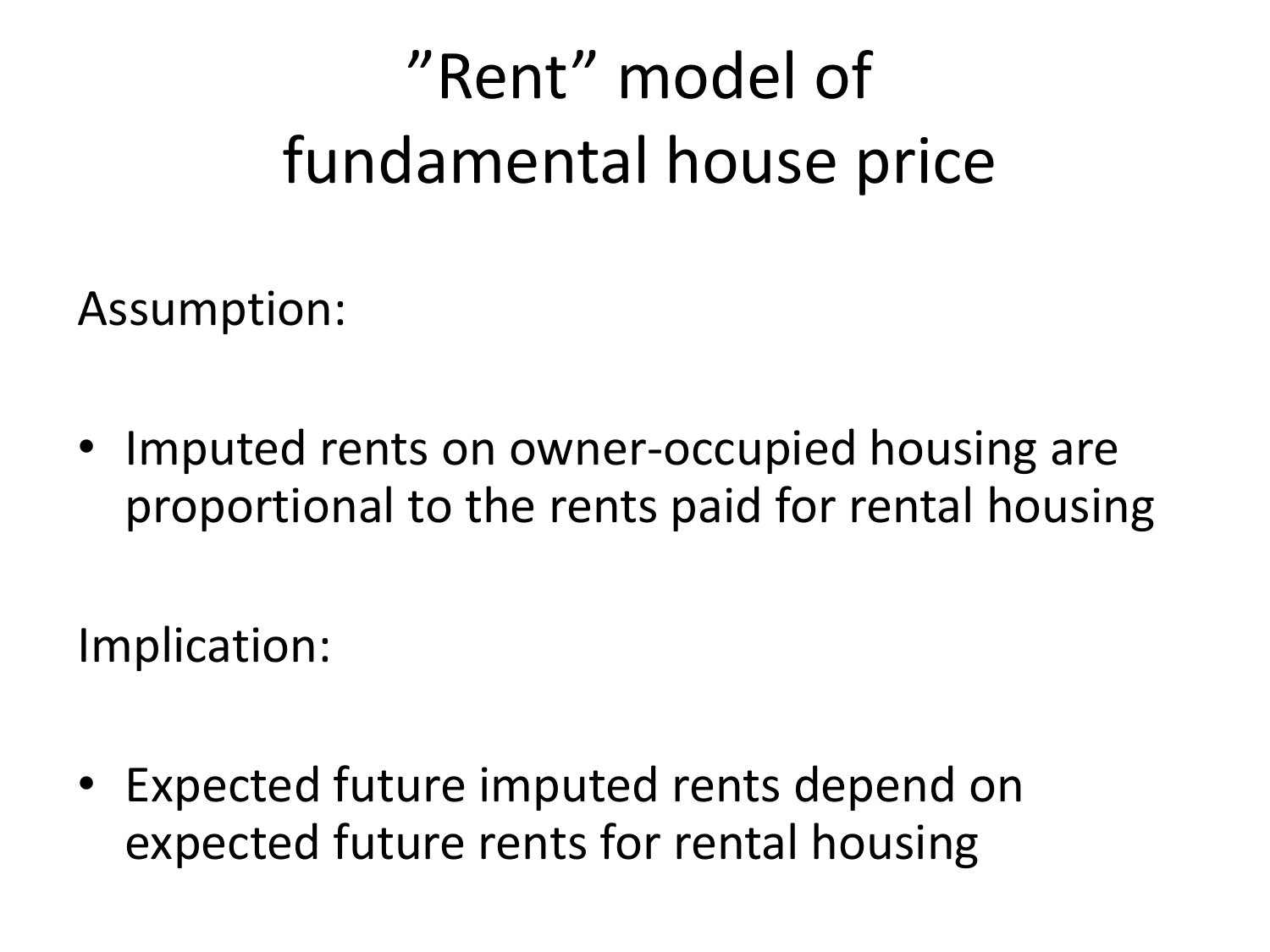# "Rent" model of fundamental house price

Assumption:

• Imputed rents on owner-occupied housing are proportional to the rents paid for rental housing

Implication:

• Expected future imputed rents depend on expected future rents for rental housing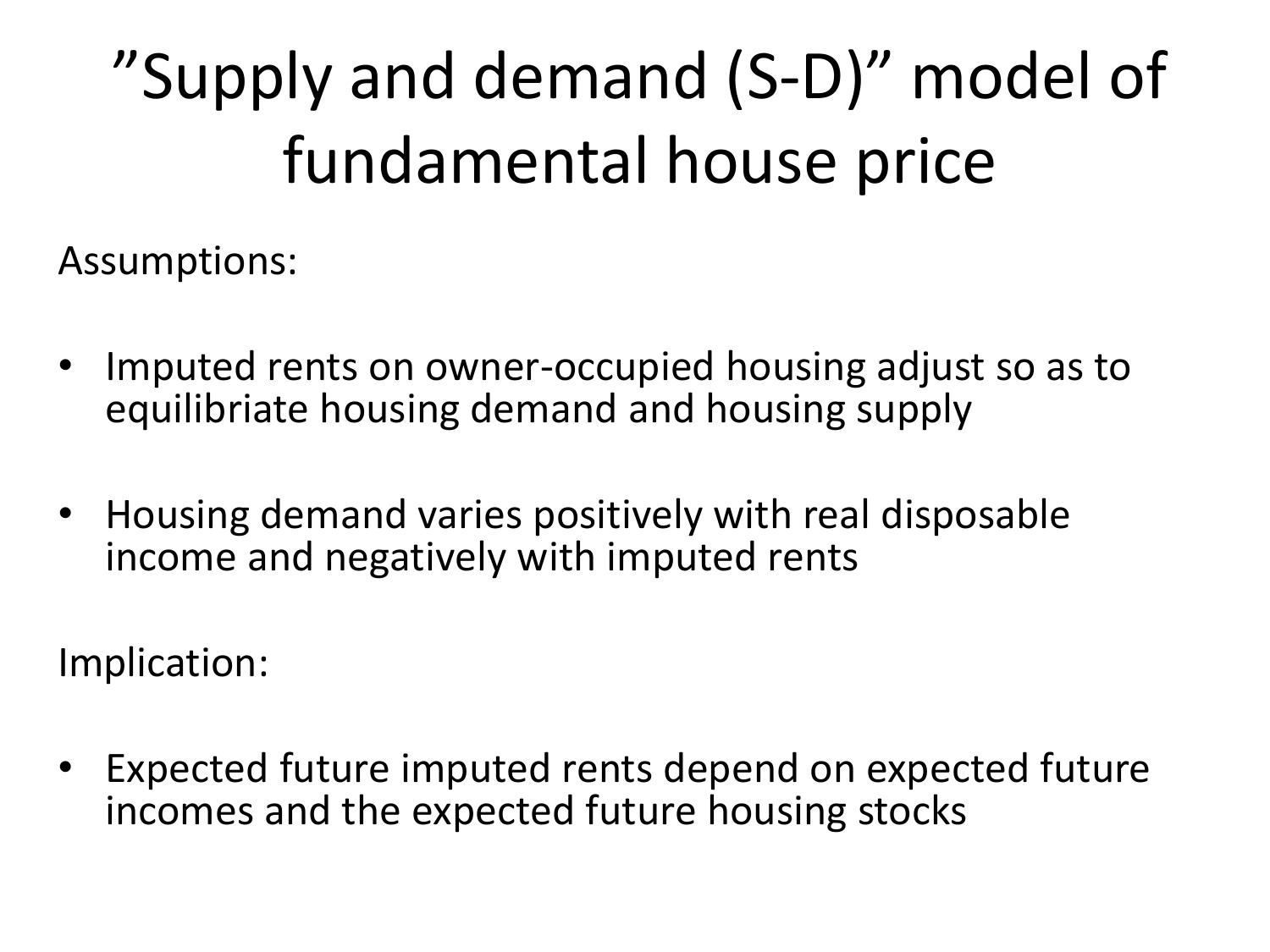# "Supply and demand (S-D)" model of fundamental house price

Assumptions:

- Imputed rents on owner-occupied housing adjust so as to equilibriate housing demand and housing supply
- Housing demand varies positively with real disposable income and negatively with imputed rents

Implication:

Expected future imputed rents depend on expected future incomes and the expected future housing stocks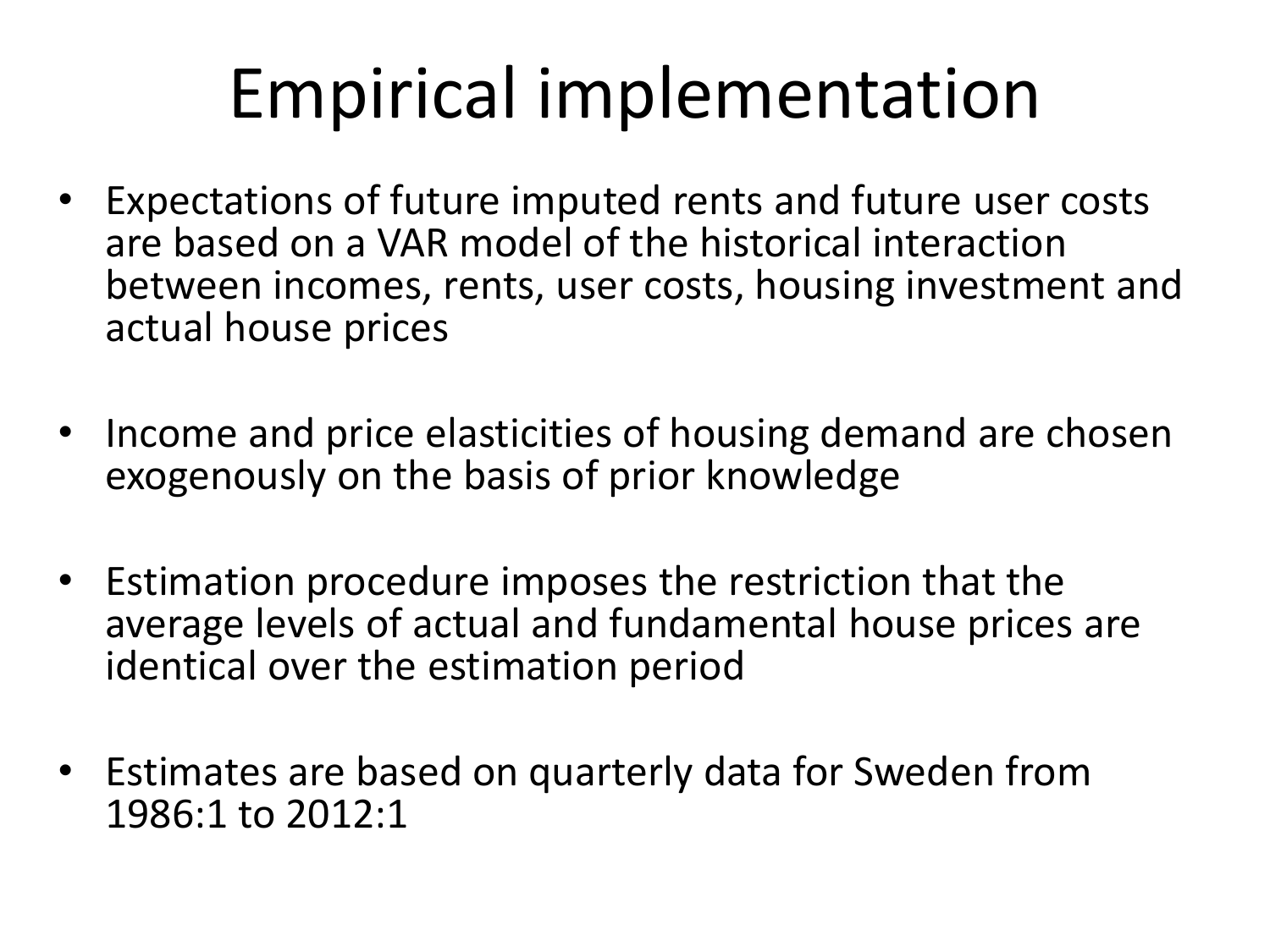# Empirical implementation

- Expectations of future imputed rents and future user costs are based on a VAR model of the historical interaction between incomes, rents, user costs, housing investment and actual house prices
- Income and price elasticities of housing demand are chosen exogenously on the basis of prior knowledge
- Estimation procedure imposes the restriction that the average levels of actual and fundamental house prices are identical over the estimation period
- Estimates are based on quarterly data for Sweden from 1986:1 to 2012:1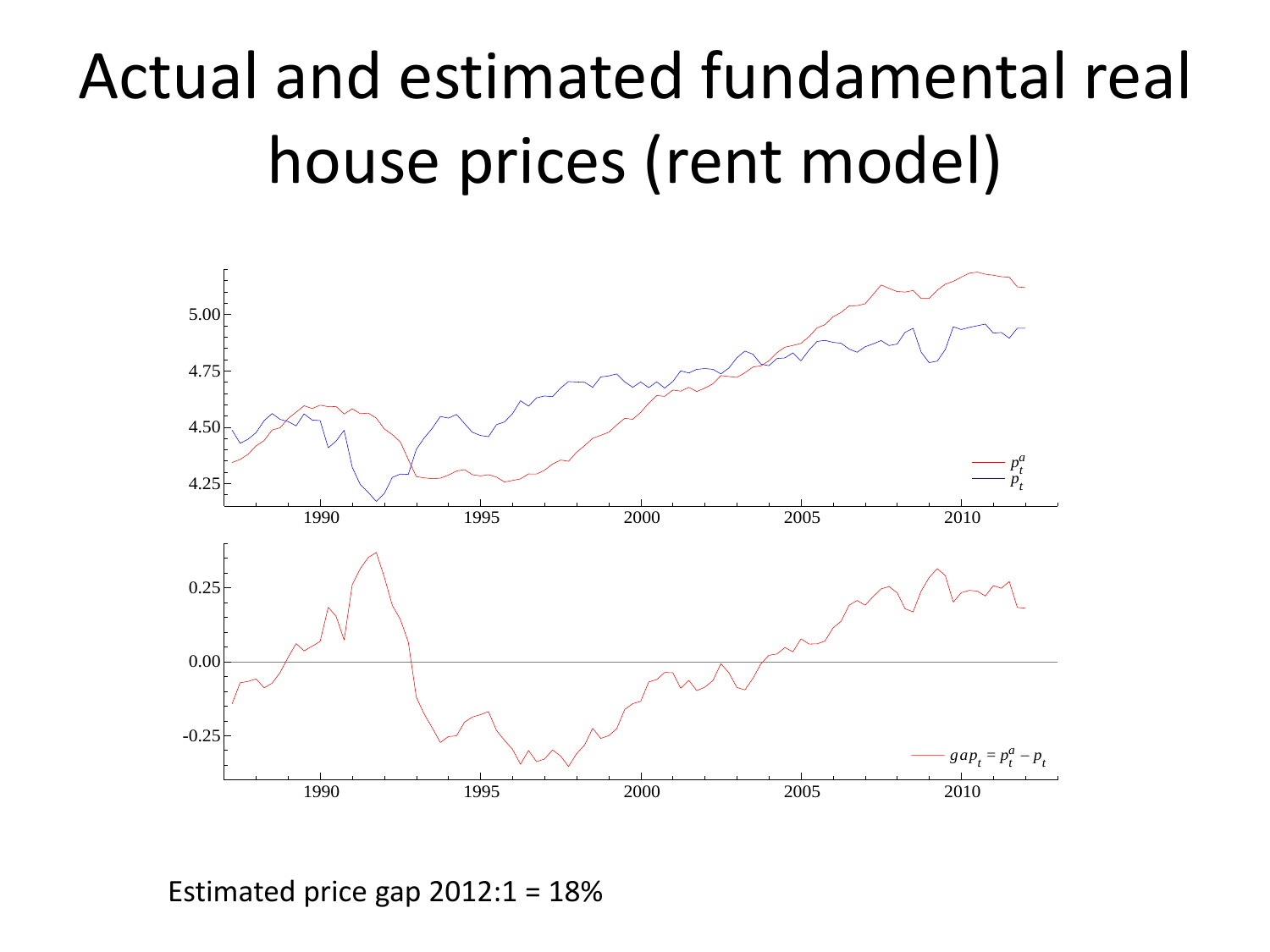# Actual and estimated fundamental real house prices (rent model)



Estimated price gap  $2012:1 = 18\%$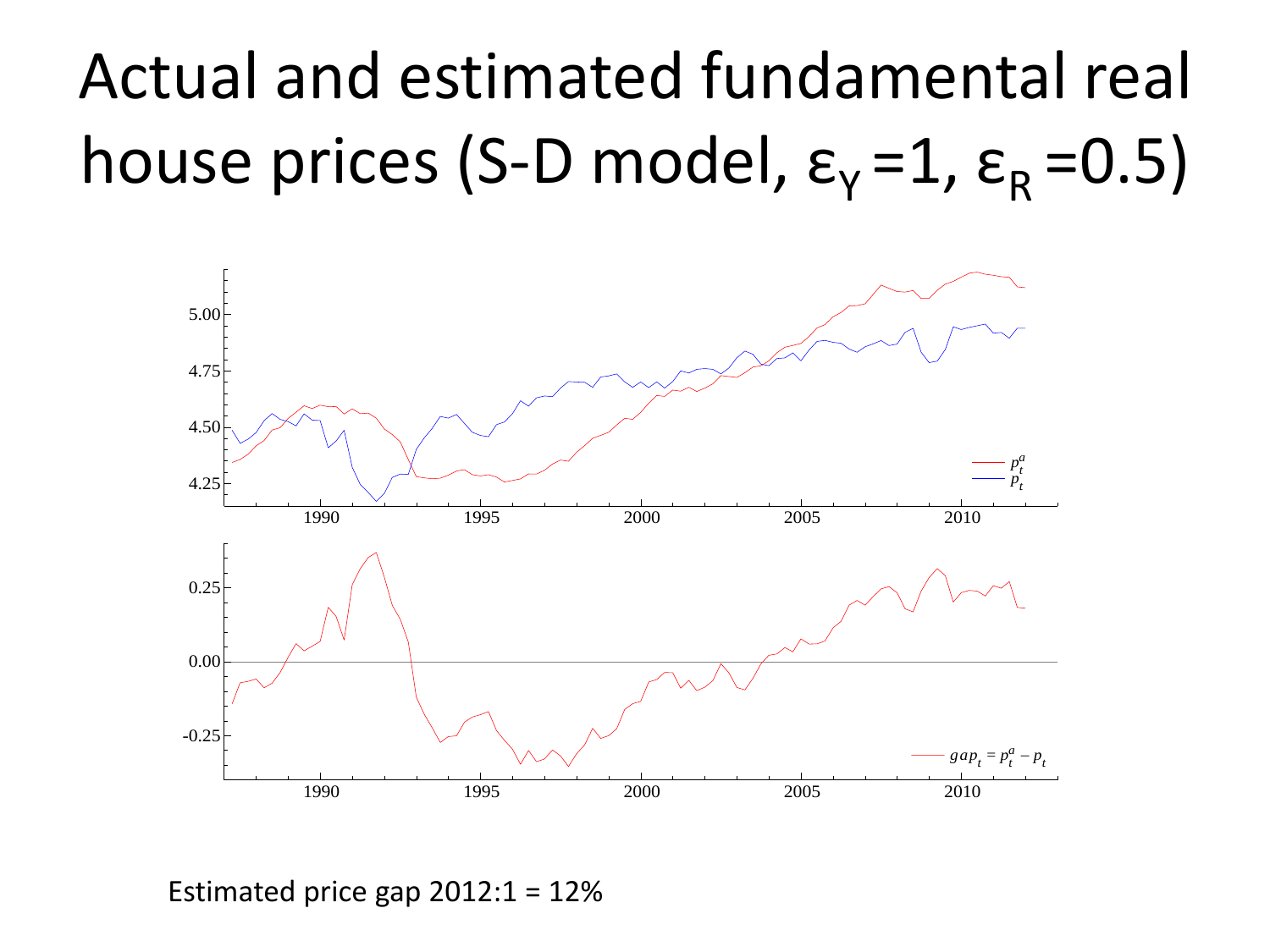# Actual and estimated fundamental real house prices (S-D model,  $\varepsilon_{\rm Y}$  =1,  $\varepsilon_{\rm R}$  =0.5)



Estimated price gap  $2012:1 = 12\%$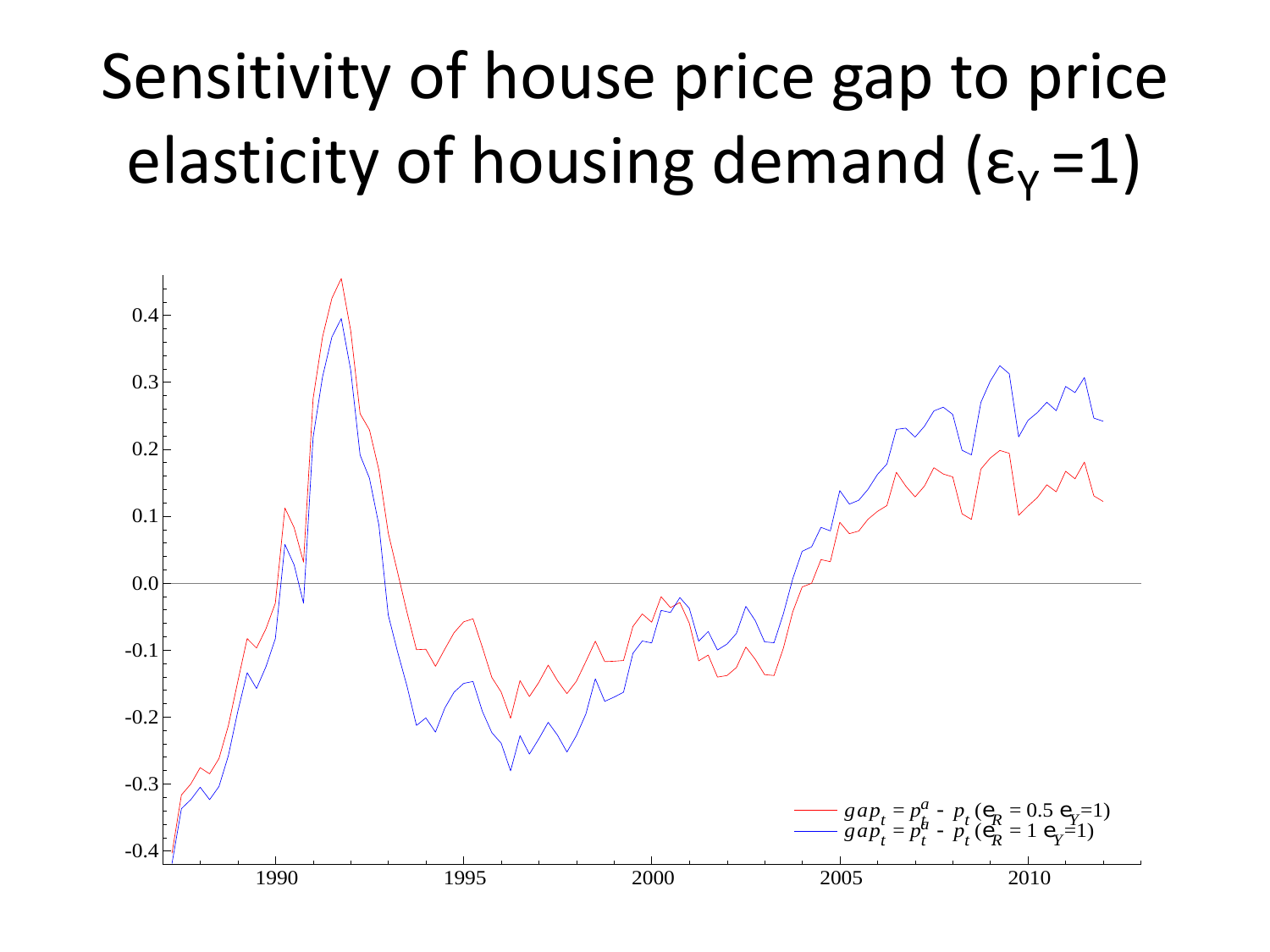#### Sensitivity of house price gap to price elasticity of housing demand  $(\epsilon_y = 1)$

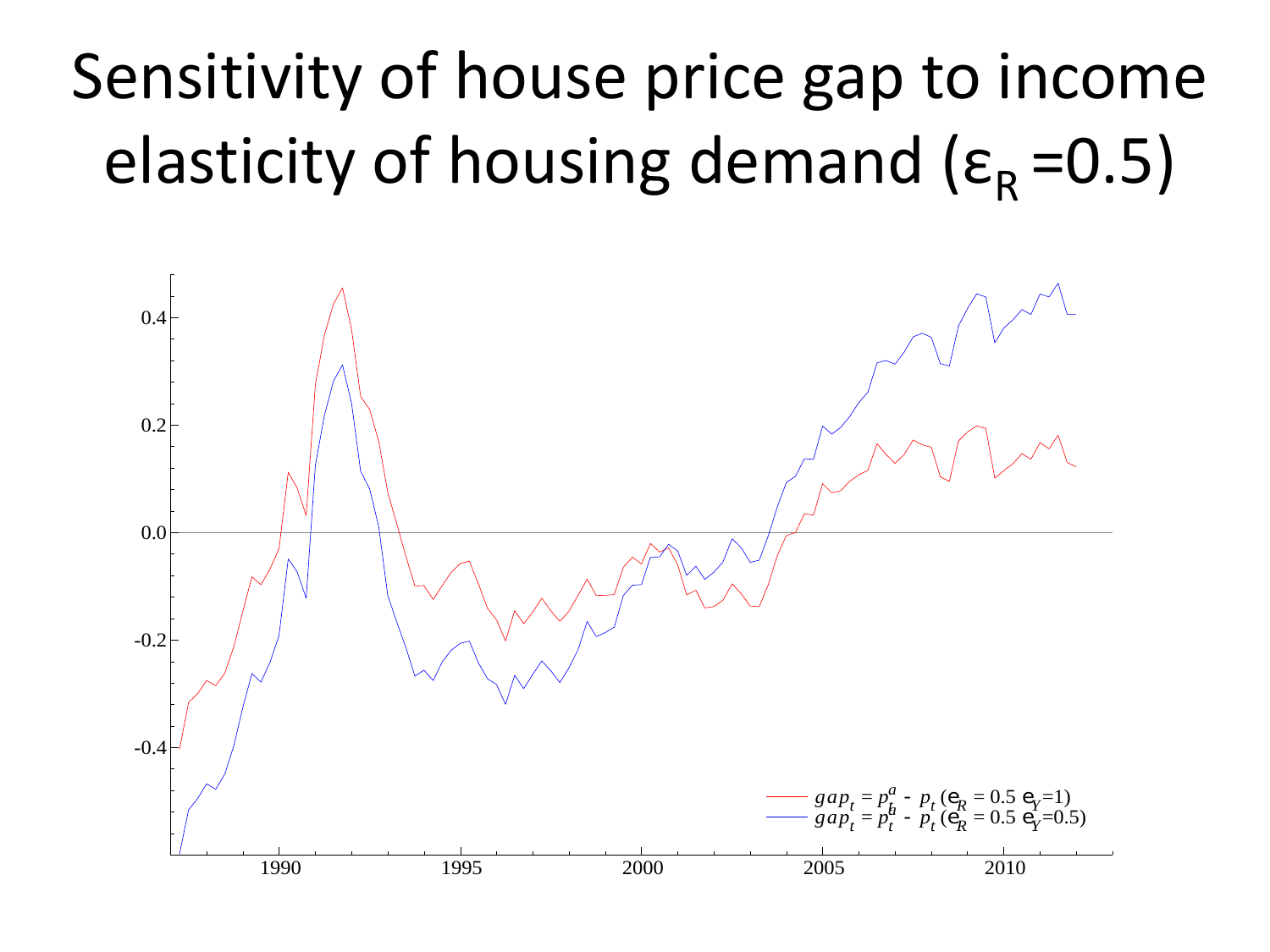# Sensitivity of house price gap to income elasticity of housing demand ( $\varepsilon_R = 0.5$ )

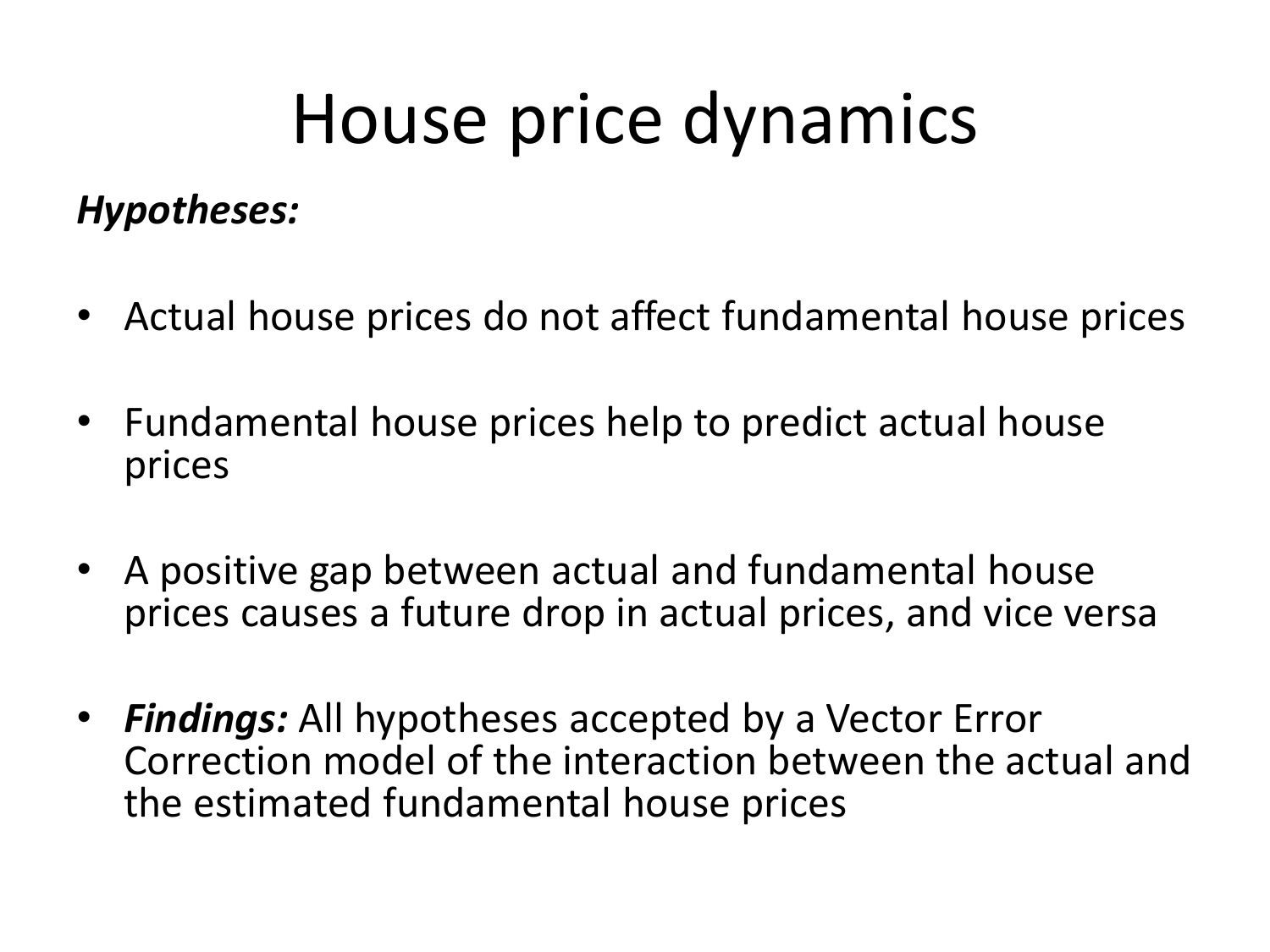# House price dynamics

#### *Hypotheses:*

- Actual house prices do not affect fundamental house prices
- Fundamental house prices help to predict actual house prices
- A positive gap between actual and fundamental house prices causes a future drop in actual prices, and vice versa
- *Findings:* All hypotheses accepted by a Vector Error Correction model of the interaction between the actual and the estimated fundamental house prices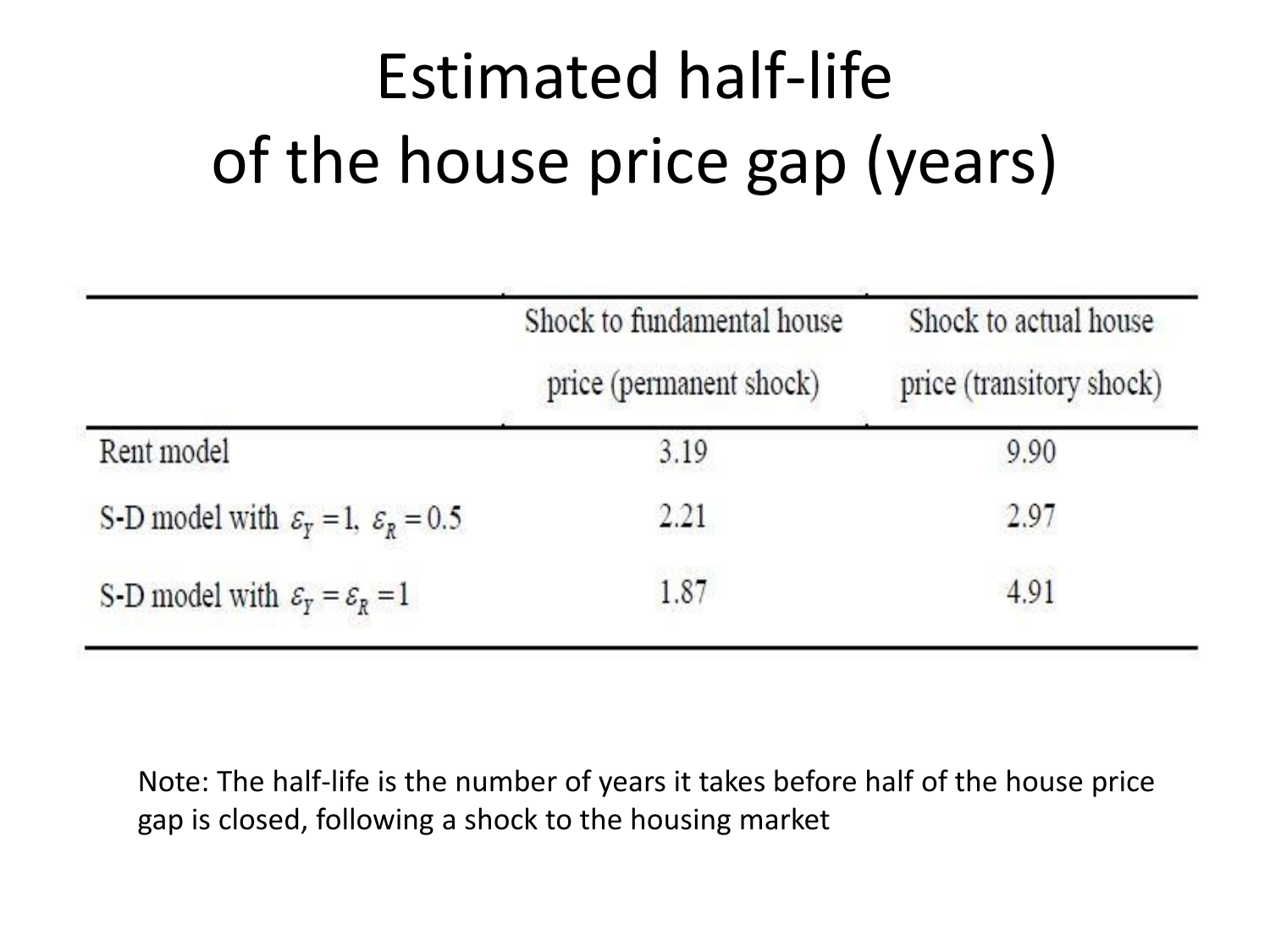# Estimated half-life of the house price gap (years)

|                                                                        | Shock to fundamental house<br>price (permanent shock) | Shock to actual house<br>price (transitory shock) |
|------------------------------------------------------------------------|-------------------------------------------------------|---------------------------------------------------|
| Rent model                                                             | 3.19                                                  | 9.90                                              |
| S-D model with $\varepsilon_{\rm r} = 1$ , $\varepsilon_{\rm R} = 0.5$ | 2.21                                                  | 2.97                                              |
| S-D model with $\varepsilon_y = \varepsilon_R = 1$                     | 1.87                                                  | 4.91                                              |

Note: The half-life is the number of years it takes before half of the house price gap is closed, following a shock to the housing market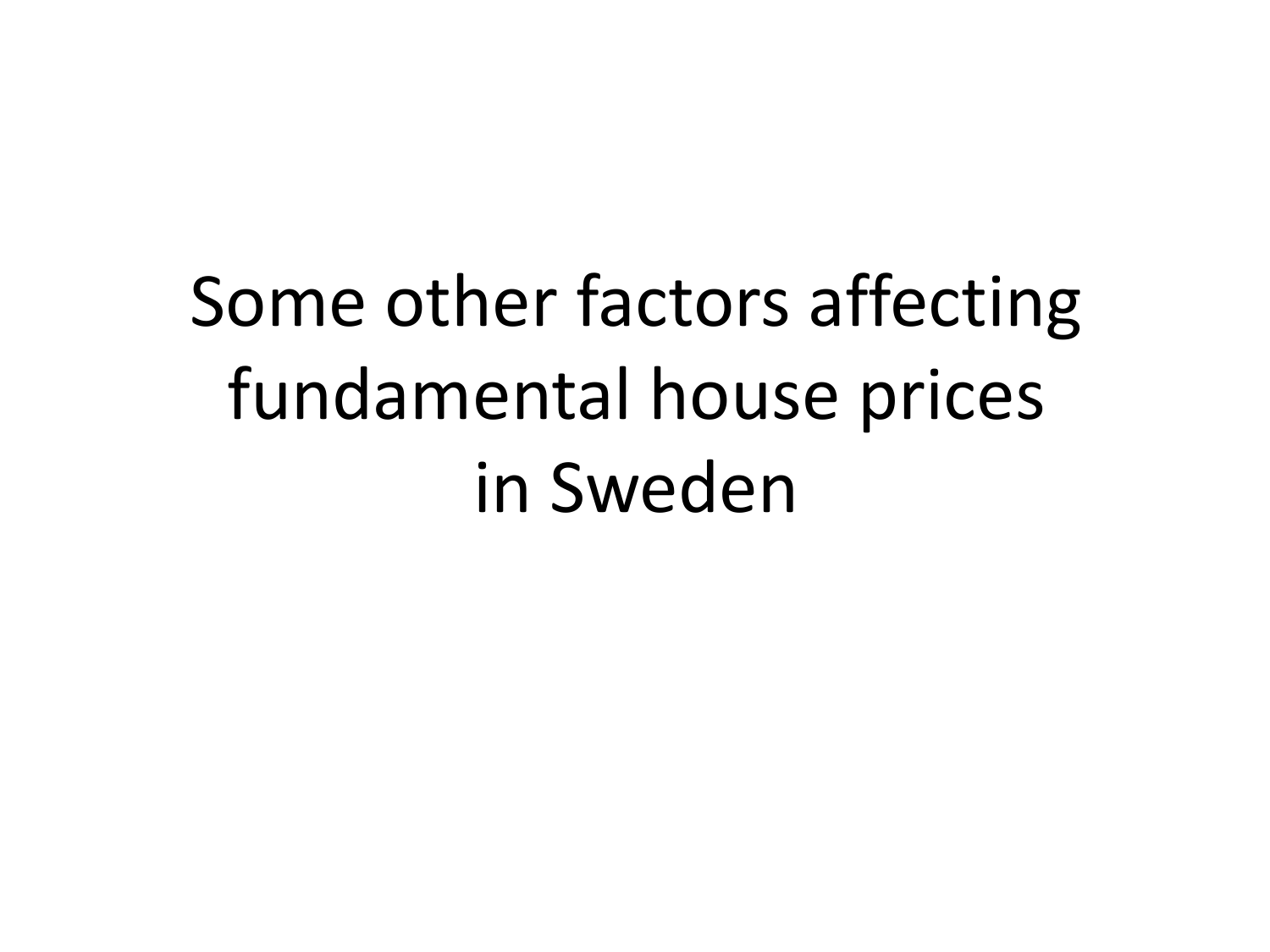Some other factors affecting fundamental house prices in Sweden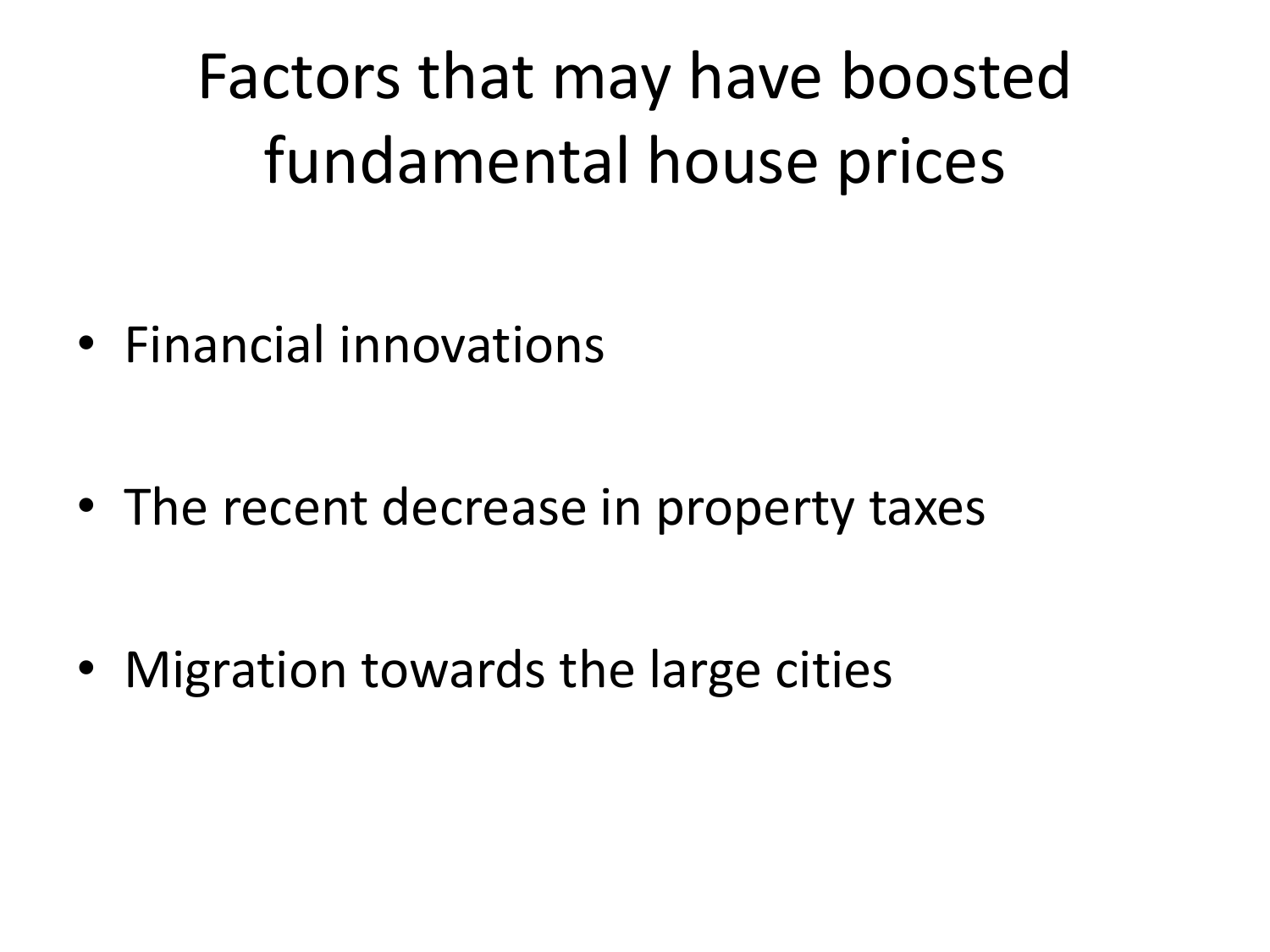Factors that may have boosted fundamental house prices

• Financial innovations

• The recent decrease in property taxes

• Migration towards the large cities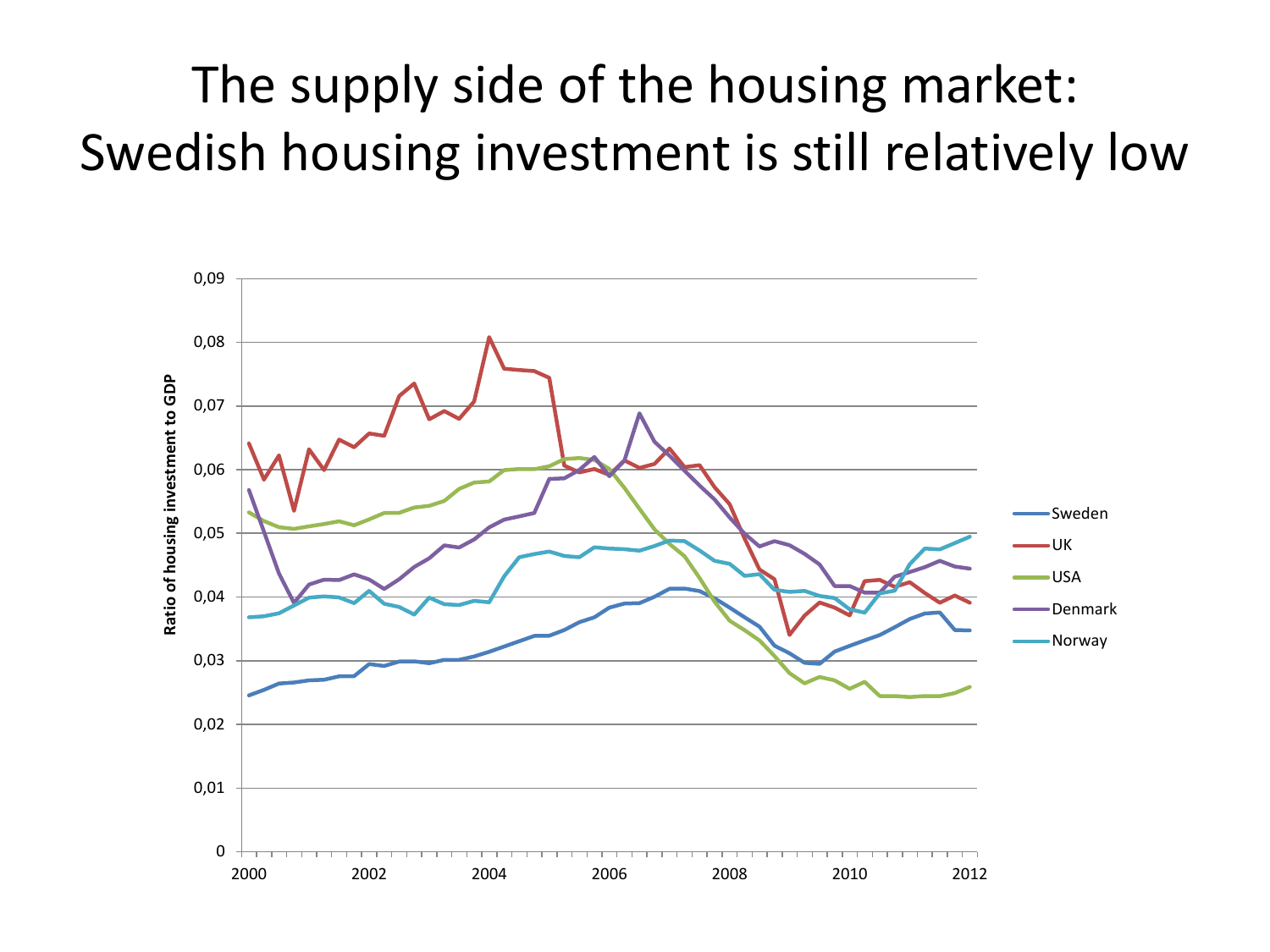#### The supply side of the housing market: Swedish housing investment is still relatively low

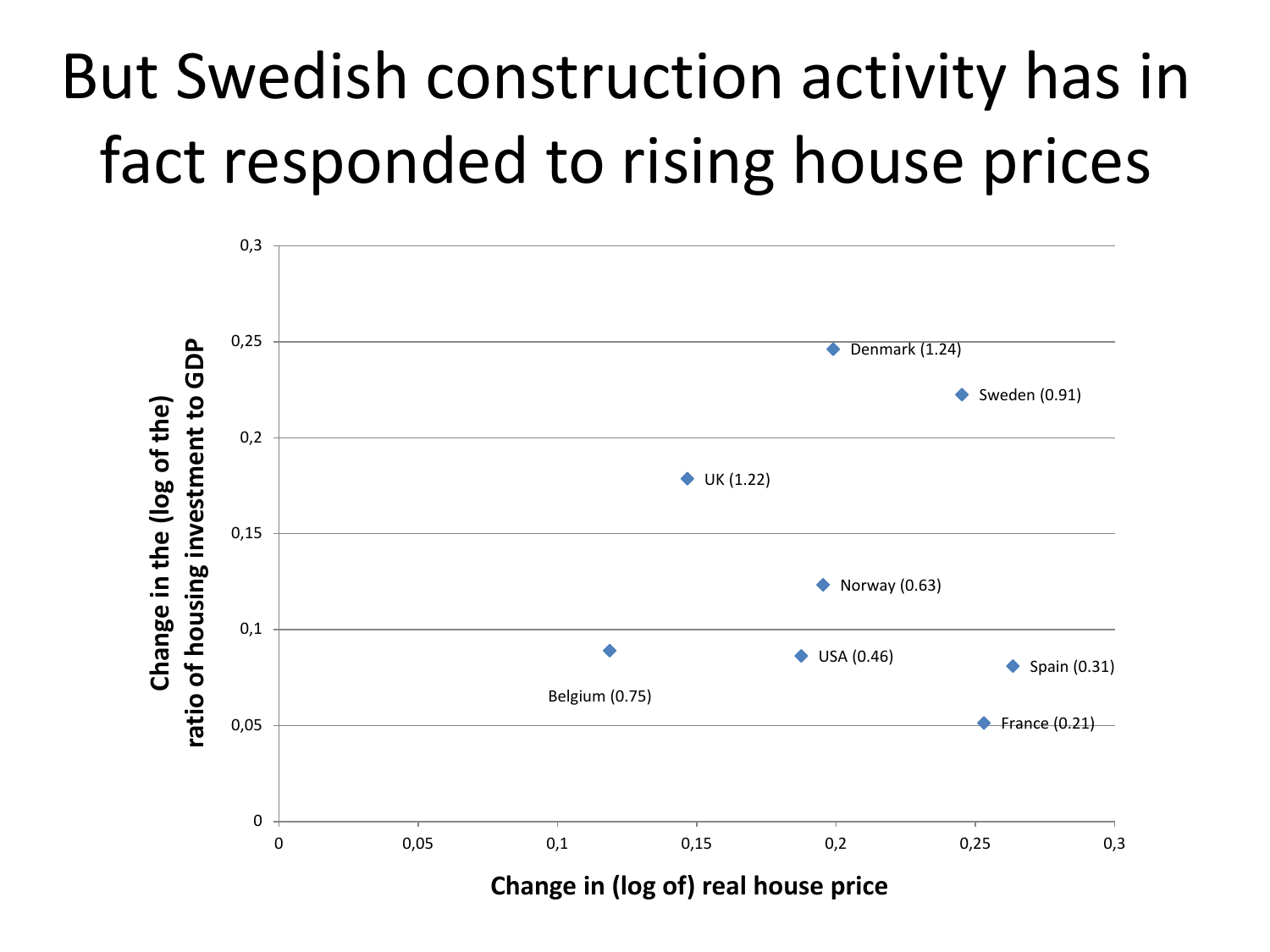# But Swedish construction activity has in fact responded to rising house prices

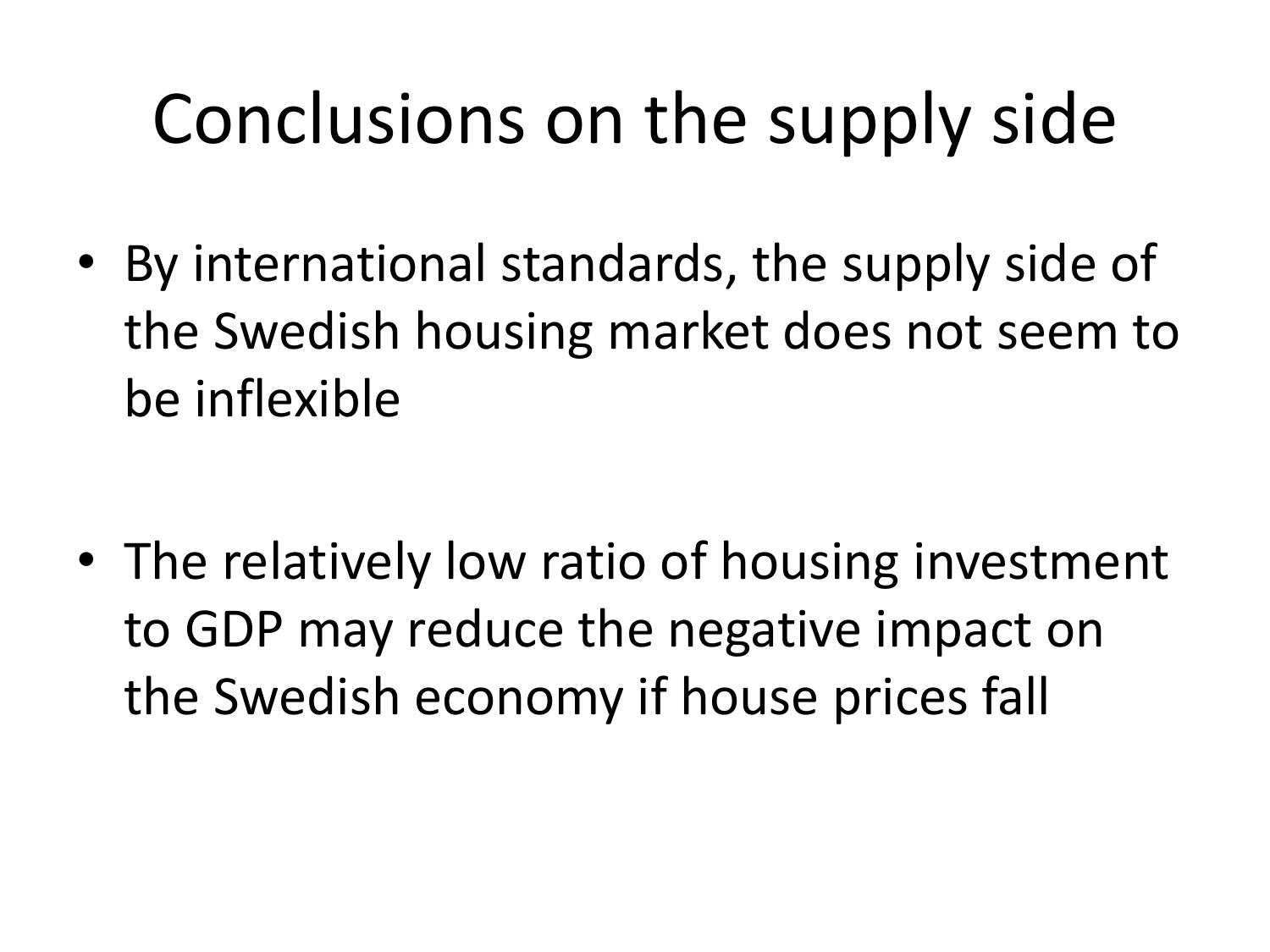# Conclusions on the supply side

• By international standards, the supply side of the Swedish housing market does not seem to be inflexible

• The relatively low ratio of housing investment to GDP may reduce the negative impact on the Swedish economy if house prices fall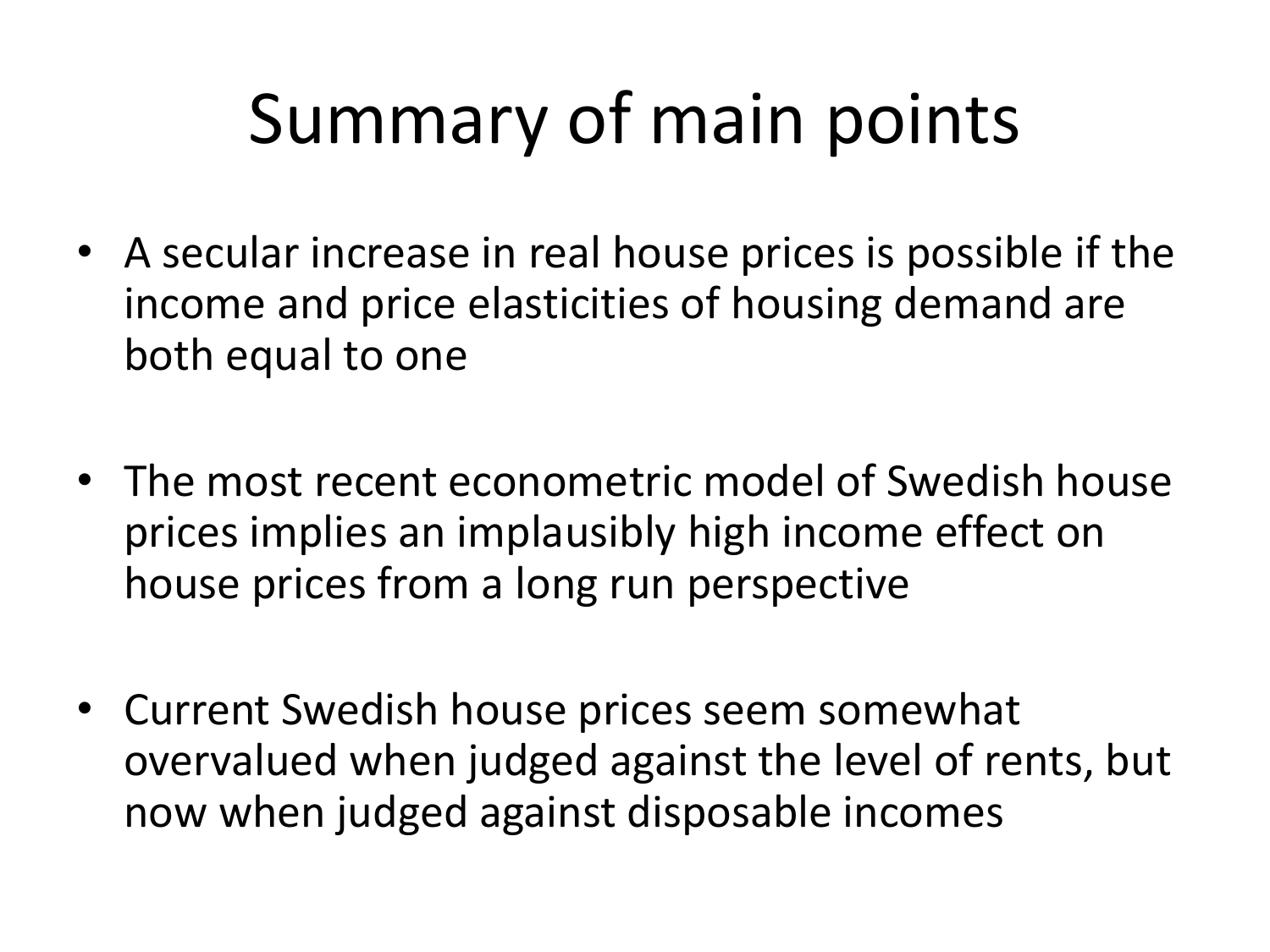# Summary of main points

- A secular increase in real house prices is possible if the income and price elasticities of housing demand are both equal to one
- The most recent econometric model of Swedish house prices implies an implausibly high income effect on house prices from a long run perspective
- Current Swedish house prices seem somewhat overvalued when judged against the level of rents, but now when judged against disposable incomes